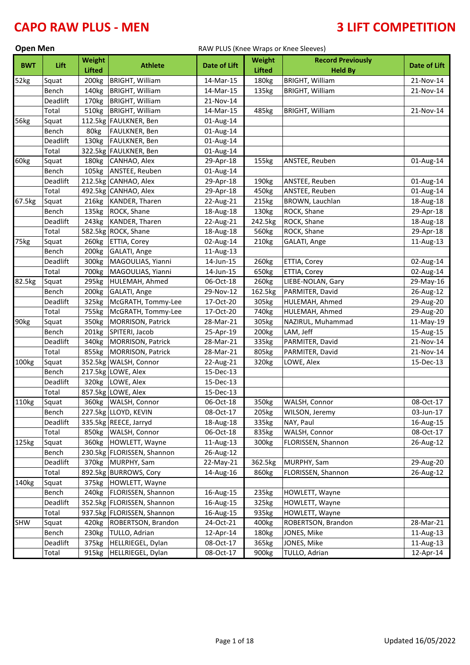| <b>Open Men</b> |  |
|-----------------|--|
|-----------------|--|

### RAW PLUS (Knee Wraps or Knee Sleeves)

|            |          | Weight            |                            |                     | Weight            | <b>Record Previously</b> |                     |
|------------|----------|-------------------|----------------------------|---------------------|-------------------|--------------------------|---------------------|
| <b>BWT</b> | Lift     | <b>Lifted</b>     | <b>Athlete</b>             | <b>Date of Lift</b> | <b>Lifted</b>     | <b>Held By</b>           | <b>Date of Lift</b> |
| 52kg       | Squat    | 200 <sub>kg</sub> | <b>BRIGHT, William</b>     | 14-Mar-15           | 180kg             | <b>BRIGHT, William</b>   | 21-Nov-14           |
|            | Bench    | 140kg             | <b>BRIGHT, William</b>     | 14-Mar-15           | 135kg             | <b>BRIGHT, William</b>   | 21-Nov-14           |
|            | Deadlift | 170kg             | <b>BRIGHT, William</b>     | 21-Nov-14           |                   |                          |                     |
|            | Total    | 510kg             | <b>BRIGHT, William</b>     | 14-Mar-15           | 485kg             | <b>BRIGHT, William</b>   | 21-Nov-14           |
| 56kg       | Squat    |                   | 112.5kg FAULKNER, Ben      | 01-Aug-14           |                   |                          |                     |
|            | Bench    | 80kg              | FAULKNER, Ben              | 01-Aug-14           |                   |                          |                     |
|            | Deadlift | 130kg             | FAULKNER, Ben              | 01-Aug-14           |                   |                          |                     |
|            | Total    |                   | 322.5kg FAULKNER, Ben      | 01-Aug-14           |                   |                          |                     |
| 60kg       | Squat    | 180kg             | CANHAO, Alex               | 29-Apr-18           | 155kg             | ANSTEE, Reuben           | 01-Aug-14           |
|            | Bench    | 105kg             | ANSTEE, Reuben             | 01-Aug-14           |                   |                          |                     |
|            | Deadlift |                   | 212.5kg CANHAO, Alex       | 29-Apr-18           | 190kg             | ANSTEE, Reuben           | 01-Aug-14           |
|            | Total    |                   | 492.5kg CANHAO, Alex       | 29-Apr-18           | 450kg             | ANSTEE, Reuben           | 01-Aug-14           |
| 67.5kg     | Squat    | 216kg             | KANDER, Tharen             | 22-Aug-21           | 215kg             | BROWN, Lauchlan          | 18-Aug-18           |
|            | Bench    | 135kg             | ROCK, Shane                | 18-Aug-18           | 130kg             | ROCK, Shane              | 29-Apr-18           |
|            | Deadlift | 243kg             | KANDER, Tharen             | 22-Aug-21           | 242.5kg           | ROCK, Shane              | 18-Aug-18           |
|            | Total    |                   | 582.5kg ROCK, Shane        | 18-Aug-18           | 560kg             | ROCK, Shane              | 29-Apr-18           |
| 75kg       | Squat    | 260 <sub>kg</sub> | ETTIA, Corey               | 02-Aug-14           | 210kg             | GALATI, Ange             | 11-Aug-13           |
|            | Bench    | 200 <sub>kg</sub> | GALATI, Ange               | 11-Aug-13           |                   |                          |                     |
|            | Deadlift | 300kg             | MAGOULIAS, Yianni          | 14-Jun-15           | 260kg             | ETTIA, Corey             | 02-Aug-14           |
|            | Total    | 700 <sub>kg</sub> | MAGOULIAS, Yianni          | 14-Jun-15           | 650kg             | ETTIA, Corey             | 02-Aug-14           |
| 82.5kg     | Squat    | 295kg             | HULEMAH, Ahmed             | 06-Oct-18           | 260kg             | LIEBE-NOLAN, Gary        | 29-May-16           |
|            | Bench    | 200 <sub>kg</sub> | GALATI, Ange               | 29-Nov-12           | 162.5kg           | PARMITER, David          | 26-Aug-12           |
|            | Deadlift | 325kg             | McGRATH, Tommy-Lee         | 17-Oct-20           | 305kg             | HULEMAH, Ahmed           | 29-Aug-20           |
|            | Total    | 755kg             | McGRATH, Tommy-Lee         | 17-Oct-20           | 740 <sub>kg</sub> | HULEMAH, Ahmed           | 29-Aug-20           |
| 90kg       | Squat    | 350kg             | MORRISON, Patrick          | 28-Mar-21           | 305kg             | NAZIRUL, Muhammad        | 11-May-19           |
|            | Bench    | 201kg             | SPITERI, Jacob             | 25-Apr-19           | 200kg             | LAM, Jeff                | 15-Aug-15           |
|            | Deadlift | 340kg             | MORRISON, Patrick          | 28-Mar-21           | 335kg             | PARMITER, David          | 21-Nov-14           |
|            | Total    | 855kg             | MORRISON, Patrick          | 28-Mar-21           | 805kg             | PARMITER, David          | 21-Nov-14           |
| 100kg      | Squat    |                   | 352.5kg WALSH, Connor      | 22-Aug-21           | 320kg             | LOWE, Alex               | 15-Dec-13           |
|            | Bench    |                   | 217.5kg LOWE, Alex         | 15-Dec-13           |                   |                          |                     |
|            | Deadlift | 320kg             | LOWE, Alex                 | 15-Dec-13           |                   |                          |                     |
|            | Total    |                   | 857.5kg LOWE, Alex         | 15-Dec-13           |                   |                          |                     |
| 110kg      | Squat    |                   | 360kg WALSH, Connor        | 06-Oct-18           | 350kg             | WALSH, Connor            | 08-Oct-17           |
|            | Bench    |                   | 227.5kg LLOYD, KEVIN       | 08-Oct-17           | 205kg             | WILSON, Jeremy           | 03-Jun-17           |
|            | Deadlift |                   | 335.5kg REECE, Jarryd      | 18-Aug-18           | 335kg             | NAY, Paul                | 16-Aug-15           |
|            | Total    |                   | 850kg WALSH, Connor        | 06-Oct-18           | 835kg             | WALSH, Connor            | 08-Oct-17           |
| 125kg      | Squat    | 360kg             | HOWLETT, Wayne             | 11-Aug-13           | 300kg             | FLORISSEN, Shannon       | 26-Aug-12           |
|            | Bench    |                   | 230.5kg FLORISSEN, Shannon | 26-Aug-12           |                   |                          |                     |
|            | Deadlift |                   | 370kg MURPHY, Sam          | 22-May-21           | 362.5kg           | MURPHY, Sam              | 29-Aug-20           |
|            | Total    |                   | 892.5kg BURROWS, Cory      | 14-Aug-16           | 860kg             | FLORISSEN, Shannon       | 26-Aug-12           |
| 140kg      | Squat    |                   | 375kg HOWLETT, Wayne       |                     |                   |                          |                     |
|            | Bench    | 240 <sub>kg</sub> | FLORISSEN, Shannon         | 16-Aug-15           | 235kg             | HOWLETT, Wayne           |                     |
|            | Deadlift |                   | 352.5kg FLORISSEN, Shannon | 16-Aug-15           | 325kg             | HOWLETT, Wayne           |                     |
|            | Total    |                   | 937.5kg FLORISSEN, Shannon | 16-Aug-15           | 935kg             | HOWLETT, Wayne           |                     |
| <b>SHW</b> | Squat    | 420kg             | ROBERTSON, Brandon         | 24-Oct-21           | 400kg             | ROBERTSON, Brandon       | 28-Mar-21           |
|            | Bench    | 230 <sub>kg</sub> | TULLO, Adrian              | 12-Apr-14           | 180kg             | JONES, Mike              | 11-Aug-13           |
|            | Deadlift | 375kg             | HELLRIEGEL, Dylan          | 08-Oct-17           | 365kg             | JONES, Mike              | 11-Aug-13           |
|            | Total    | 915kg             | HELLRIEGEL, Dylan          | 08-Oct-17           | 900kg             | TULLO, Adrian            | 12-Apr-14           |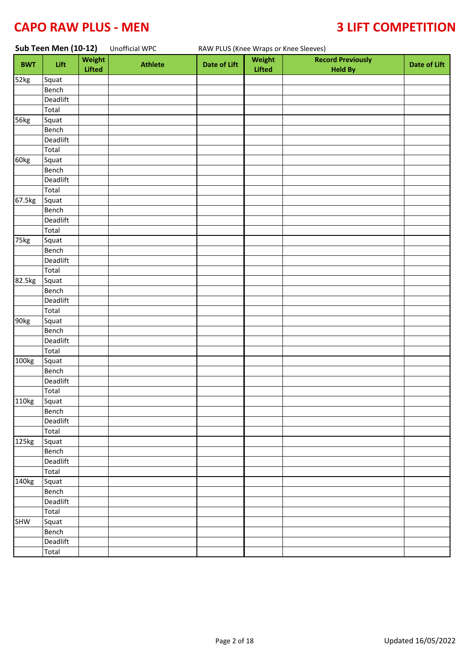| Sub Teen Men (10-12) |                                 | Unofficial WPC   |                | RAW PLUS (Knee Wraps or Knee Sleeves) |                         |                                            |                     |
|----------------------|---------------------------------|------------------|----------------|---------------------------------------|-------------------------|--------------------------------------------|---------------------|
| <b>BWT</b>           | Lift                            | Weight<br>Lifted | <b>Athlete</b> | <b>Date of Lift</b>                   | Weight<br><b>Lifted</b> | <b>Record Previously</b><br><b>Held By</b> | <b>Date of Lift</b> |
| 52kg                 | Squat                           |                  |                |                                       |                         |                                            |                     |
|                      | Bench                           |                  |                |                                       |                         |                                            |                     |
|                      | Deadlift                        |                  |                |                                       |                         |                                            |                     |
|                      | Total                           |                  |                |                                       |                         |                                            |                     |
| 56kg                 | Squat                           |                  |                |                                       |                         |                                            |                     |
|                      | Bench                           |                  |                |                                       |                         |                                            |                     |
|                      | Deadlift                        |                  |                |                                       |                         |                                            |                     |
|                      | Total                           |                  |                |                                       |                         |                                            |                     |
| 60kg                 | Squat                           |                  |                |                                       |                         |                                            |                     |
|                      | Bench                           |                  |                |                                       |                         |                                            |                     |
|                      | Deadlift                        |                  |                |                                       |                         |                                            |                     |
|                      | Total                           |                  |                |                                       |                         |                                            |                     |
| 67.5kg               | Squat                           |                  |                |                                       |                         |                                            |                     |
|                      | Bench                           |                  |                |                                       |                         |                                            |                     |
|                      | Deadlift                        |                  |                |                                       |                         |                                            |                     |
|                      | Total                           |                  |                |                                       |                         |                                            |                     |
| 75kg                 | Squat                           |                  |                |                                       |                         |                                            |                     |
|                      | Bench                           |                  |                |                                       |                         |                                            |                     |
|                      | Deadlift                        |                  |                |                                       |                         |                                            |                     |
|                      | Total                           |                  |                |                                       |                         |                                            |                     |
| 82.5kg               | Squat                           |                  |                |                                       |                         |                                            |                     |
|                      | Bench                           |                  |                |                                       |                         |                                            |                     |
|                      | Deadlift                        |                  |                |                                       |                         |                                            |                     |
|                      | Total                           |                  |                |                                       |                         |                                            |                     |
| 90kg                 | Squat                           |                  |                |                                       |                         |                                            |                     |
|                      | Bench                           |                  |                |                                       |                         |                                            |                     |
|                      | Deadlift                        |                  |                |                                       |                         |                                            |                     |
|                      | Total                           |                  |                |                                       |                         |                                            |                     |
| 100kg                | Squat                           |                  |                |                                       |                         |                                            |                     |
|                      | Bench                           |                  |                |                                       |                         |                                            |                     |
|                      | Deadlift<br>$\overline{T}$ otal |                  |                |                                       |                         |                                            |                     |
|                      |                                 |                  |                |                                       |                         |                                            |                     |
| 110kg                | Squat                           |                  |                |                                       |                         |                                            |                     |
|                      | Bench<br>Deadlift               |                  |                |                                       |                         |                                            |                     |
|                      | Total                           |                  |                |                                       |                         |                                            |                     |
| $\overline{1}$ 25kg  | Squat                           |                  |                |                                       |                         |                                            |                     |
|                      | Bench                           |                  |                |                                       |                         |                                            |                     |
|                      | Deadlift                        |                  |                |                                       |                         |                                            |                     |
|                      | Total                           |                  |                |                                       |                         |                                            |                     |
| 140kg                | Squat                           |                  |                |                                       |                         |                                            |                     |
|                      | Bench                           |                  |                |                                       |                         |                                            |                     |
|                      | Deadlift                        |                  |                |                                       |                         |                                            |                     |
|                      | Total                           |                  |                |                                       |                         |                                            |                     |
| <b>SHW</b>           | $\overline{$ Squat              |                  |                |                                       |                         |                                            |                     |
|                      | Bench                           |                  |                |                                       |                         |                                            |                     |
|                      | Deadlift                        |                  |                |                                       |                         |                                            |                     |
|                      | Total                           |                  |                |                                       |                         |                                            |                     |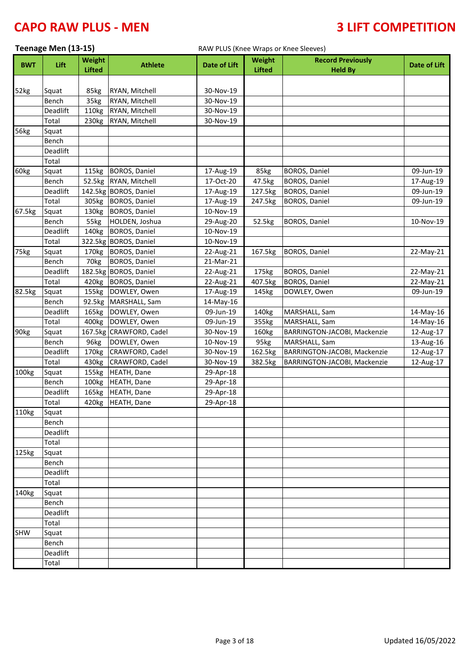|            | Teenage Men (13-15) |                                |                         | RAW PLUS (Knee Wraps or Knee Sleeves) |                                |                                            |              |  |
|------------|---------------------|--------------------------------|-------------------------|---------------------------------------|--------------------------------|--------------------------------------------|--------------|--|
| <b>BWT</b> | Lift                | <b>Weight</b><br><b>Lifted</b> | <b>Athlete</b>          | Date of Lift                          | <b>Weight</b><br><b>Lifted</b> | <b>Record Previously</b><br><b>Held By</b> | Date of Lift |  |
|            |                     |                                |                         |                                       |                                |                                            |              |  |
| 52kg       | Squat               | 85kg                           | RYAN, Mitchell          | 30-Nov-19                             |                                |                                            |              |  |
|            | Bench               | 35kg                           | RYAN, Mitchell          | 30-Nov-19                             |                                |                                            |              |  |
|            | Deadlift            | 110kg                          | RYAN, Mitchell          | 30-Nov-19                             |                                |                                            |              |  |
|            | Total               | 230kg                          | RYAN, Mitchell          | 30-Nov-19                             |                                |                                            |              |  |
| 56kg       | Squat               |                                |                         |                                       |                                |                                            |              |  |
|            | Bench               |                                |                         |                                       |                                |                                            |              |  |
|            | Deadlift            |                                |                         |                                       |                                |                                            |              |  |
|            | Total               |                                |                         |                                       |                                |                                            |              |  |
| 60kg       | Squat               | 115kg                          | <b>BOROS, Daniel</b>    | 17-Aug-19                             | 85kg                           | <b>BOROS, Daniel</b>                       | 09-Jun-19    |  |
|            | Bench               |                                | 52.5kg RYAN, Mitchell   | 17-Oct-20                             | 47.5kg                         | <b>BOROS, Daniel</b>                       | 17-Aug-19    |  |
|            | Deadlift            |                                | 142.5kg BOROS, Daniel   | 17-Aug-19                             | 127.5kg                        | <b>BOROS, Daniel</b>                       | 09-Jun-19    |  |
|            | Total               | 305kg                          | <b>BOROS, Daniel</b>    | 17-Aug-19                             | 247.5kg                        | <b>BOROS, Daniel</b>                       | 09-Jun-19    |  |
| 67.5kg     | Squat               | 130kg                          | <b>BOROS, Daniel</b>    | 10-Nov-19                             |                                |                                            |              |  |
|            | Bench               | 55kg                           | HOLDEN, Joshua          | 29-Aug-20                             | 52.5kg                         | <b>BOROS, Daniel</b>                       | 10-Nov-19    |  |
|            | Deadlift            | 140kg                          | <b>BOROS, Daniel</b>    | 10-Nov-19                             |                                |                                            |              |  |
|            | Total               |                                | 322.5kg BOROS, Daniel   | 10-Nov-19                             |                                |                                            |              |  |
| 75kg       | Squat               | 170kg                          | <b>BOROS, Daniel</b>    | 22-Aug-21                             | 167.5kg                        | <b>BOROS, Daniel</b>                       | 22-May-21    |  |
|            | Bench               | 70kg                           | <b>BOROS, Daniel</b>    | 21-Mar-21                             |                                |                                            |              |  |
|            | Deadlift            |                                | 182.5kg BOROS, Daniel   | 22-Aug-21                             | 175kg                          | <b>BOROS, Daniel</b>                       | 22-May-21    |  |
|            | Total               |                                | 420kg BOROS, Daniel     | 22-Aug-21                             | 407.5kg                        | <b>BOROS, Daniel</b>                       | 22-May-21    |  |
| 82.5kg     | Squat               | 155kg                          | DOWLEY, Owen            | 17-Aug-19                             | 145kg                          | DOWLEY, Owen                               | 09-Jun-19    |  |
|            | Bench               |                                | 92.5kg MARSHALL, Sam    | 14-May-16                             |                                |                                            |              |  |
|            | Deadlift            | 165kg                          | DOWLEY, Owen            | 09-Jun-19                             | 140kg                          | MARSHALL, Sam                              | 14-May-16    |  |
|            | Total               | 400kg                          | DOWLEY, Owen            | 09-Jun-19                             | 355kg                          | MARSHALL, Sam                              | 14-May-16    |  |
| 90kg       | Squat               |                                | 167.5kg CRAWFORD, Cadel | 30-Nov-19                             | 160kg                          | BARRINGTON-JACOBI, Mackenzie               | 12-Aug-17    |  |
|            | Bench               | 96kg                           | DOWLEY, Owen            | 10-Nov-19                             | 95kg                           | MARSHALL, Sam                              | 13-Aug-16    |  |
|            | Deadlift            | 170 <sub>kg</sub>              | CRAWFORD, Cadel         | 30-Nov-19                             | 162.5kg                        | BARRINGTON-JACOBI, Mackenzie               | 12-Aug-17    |  |
|            | Total               | 430kg                          | CRAWFORD, Cadel         | 30-Nov-19                             | 382.5kg                        | BARRINGTON-JACOBI, Mackenzie               | 12-Aug-17    |  |
| 100kg      | Squat               | 155kg                          | <b>HEATH, Dane</b>      | 29-Apr-18                             |                                |                                            |              |  |
|            | Bench               | 100kg                          | <b>HEATH, Dane</b>      | 29-Apr-18                             |                                |                                            |              |  |
|            | Deadlift            | 165kg                          | <b>HEATH, Dane</b>      | 29-Apr-18                             |                                |                                            |              |  |
|            | Total               |                                | 420kg   HEATH, Dane     | 29-Apr-18                             |                                |                                            |              |  |
| 110kg      | Squat               |                                |                         |                                       |                                |                                            |              |  |
|            | Bench               |                                |                         |                                       |                                |                                            |              |  |
|            | Deadlift            |                                |                         |                                       |                                |                                            |              |  |
|            | Total               |                                |                         |                                       |                                |                                            |              |  |
| 125kg      | Squat               |                                |                         |                                       |                                |                                            |              |  |
|            | Bench               |                                |                         |                                       |                                |                                            |              |  |
|            | Deadlift            |                                |                         |                                       |                                |                                            |              |  |
|            | Total               |                                |                         |                                       |                                |                                            |              |  |
| 140kg      | Squat               |                                |                         |                                       |                                |                                            |              |  |
|            | Bench               |                                |                         |                                       |                                |                                            |              |  |
|            | Deadlift            |                                |                         |                                       |                                |                                            |              |  |
|            | Total               |                                |                         |                                       |                                |                                            |              |  |
| <b>SHW</b> | Squat               |                                |                         |                                       |                                |                                            |              |  |
|            | Bench               |                                |                         |                                       |                                |                                            |              |  |
|            | Deadlift            |                                |                         |                                       |                                |                                            |              |  |
|            | Total               |                                |                         |                                       |                                |                                            |              |  |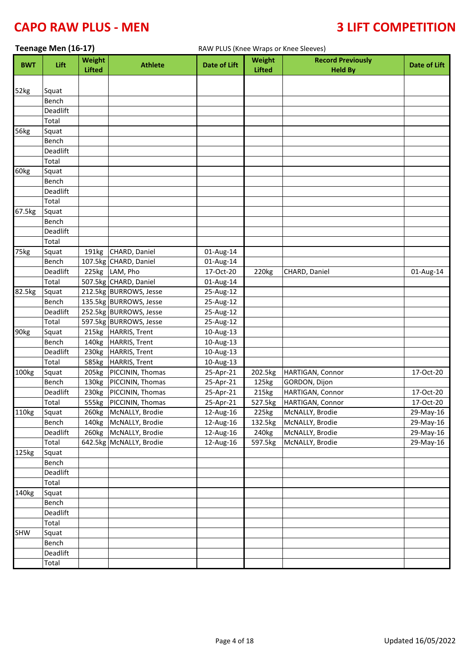|            | Teenage Men (16-17) |                                |                          | RAW PLUS (Knee Wraps or Knee Sleeves) |                         |                                            |              |  |
|------------|---------------------|--------------------------------|--------------------------|---------------------------------------|-------------------------|--------------------------------------------|--------------|--|
| <b>BWT</b> | Lift                | <b>Weight</b><br><b>Lifted</b> | <b>Athlete</b>           | <b>Date of Lift</b>                   | Weight<br><b>Lifted</b> | <b>Record Previously</b><br><b>Held By</b> | Date of Lift |  |
|            |                     |                                |                          |                                       |                         |                                            |              |  |
| 52kg       | Squat               |                                |                          |                                       |                         |                                            |              |  |
|            | Bench               |                                |                          |                                       |                         |                                            |              |  |
|            | Deadlift            |                                |                          |                                       |                         |                                            |              |  |
|            | Total               |                                |                          |                                       |                         |                                            |              |  |
| 56kg       | Squat               |                                |                          |                                       |                         |                                            |              |  |
|            | Bench               |                                |                          |                                       |                         |                                            |              |  |
|            | <b>Deadlift</b>     |                                |                          |                                       |                         |                                            |              |  |
|            | Total               |                                |                          |                                       |                         |                                            |              |  |
| 60kg       | Squat               |                                |                          |                                       |                         |                                            |              |  |
|            | Bench<br>Deadlift   |                                |                          |                                       |                         |                                            |              |  |
|            | Total               |                                |                          |                                       |                         |                                            |              |  |
| 67.5kg     | Squat               |                                |                          |                                       |                         |                                            |              |  |
|            | Bench               |                                |                          |                                       |                         |                                            |              |  |
|            | Deadlift            |                                |                          |                                       |                         |                                            |              |  |
|            | Total               |                                |                          |                                       |                         |                                            |              |  |
| 75kg       | Squat               |                                | 191kg CHARD, Daniel      | 01-Aug-14                             |                         |                                            |              |  |
|            | Bench               |                                | 107.5kg CHARD, Daniel    | 01-Aug-14                             |                         |                                            |              |  |
|            | Deadlift            |                                | 225kg LAM, Pho           | 17-Oct-20                             | 220kg                   | CHARD, Daniel                              | 01-Aug-14    |  |
|            | Total               |                                | 507.5kg CHARD, Daniel    | 01-Aug-14                             |                         |                                            |              |  |
| 82.5kg     | Squat               |                                | 212.5kg BURROWS, Jesse   | 25-Aug-12                             |                         |                                            |              |  |
|            | Bench               |                                | 135.5kg BURROWS, Jesse   | 25-Aug-12                             |                         |                                            |              |  |
|            | Deadlift            |                                | 252.5kg BURROWS, Jesse   | 25-Aug-12                             |                         |                                            |              |  |
|            | Total               |                                | 597.5kg BURROWS, Jesse   | 25-Aug-12                             |                         |                                            |              |  |
| 90kg       | Squat               | 215kg                          | <b>HARRIS, Trent</b>     | 10-Aug-13                             |                         |                                            |              |  |
|            | Bench               | 140 <sub>kg</sub>              | HARRIS, Trent            | 10-Aug-13                             |                         |                                            |              |  |
|            | Deadlift            | 230kg                          | <b>HARRIS, Trent</b>     | 10-Aug-13                             |                         |                                            |              |  |
|            | Total               | 585kg                          | <b>HARRIS, Trent</b>     | 10-Aug-13                             |                         |                                            |              |  |
| 100kg      | Squat               | 205kg                          | PICCININ, Thomas         | $25 - Apr - 21$                       | 202.5kg                 | HARTIGAN, Connor                           | 17-Oct-20    |  |
|            | Bench               | 130kg                          | PICCININ, Thomas         | 25-Apr-21                             | 125kg                   | GORDON, Dijon                              |              |  |
|            | Deadlift            | 230kg                          | PICCININ, Thomas         | 25-Apr-21                             | 215kg                   | HARTIGAN, Connor                           | 17-Oct-20    |  |
|            | Total               |                                | 555kg   PICCININ, Thomas | 25-Apr-21                             | 527.5kg                 | HARTIGAN, Connor                           | 17-Oct-20    |  |
| 110kg      | Squat               | 260kg                          | McNALLY, Brodie          | 12-Aug-16                             | 225kg                   | McNALLY, Brodie                            | 29-May-16    |  |
|            | Bench               |                                | 140kg McNALLY, Brodie    | 12-Aug-16                             | 132.5kg                 | McNALLY, Brodie                            | 29-May-16    |  |
|            | Deadlift            | 260 <sub>kg</sub>              | McNALLY, Brodie          | 12-Aug-16                             | 240 <sub>kg</sub>       | McNALLY, Brodie                            | 29-May-16    |  |
|            | Total               |                                | 642.5kg McNALLY, Brodie  | 12-Aug-16                             | 597.5kg                 | McNALLY, Brodie                            | 29-May-16    |  |
| 125kg      | Squat               |                                |                          |                                       |                         |                                            |              |  |
|            | Bench               |                                |                          |                                       |                         |                                            |              |  |
|            | Deadlift            |                                |                          |                                       |                         |                                            |              |  |
|            | Total               |                                |                          |                                       |                         |                                            |              |  |
| 140kg      | Squat               |                                |                          |                                       |                         |                                            |              |  |
|            | <b>Bench</b>        |                                |                          |                                       |                         |                                            |              |  |
|            | Deadlift            |                                |                          |                                       |                         |                                            |              |  |
|            | Total               |                                |                          |                                       |                         |                                            |              |  |
| <b>SHW</b> | Squat               |                                |                          |                                       |                         |                                            |              |  |
|            | Bench               |                                |                          |                                       |                         |                                            |              |  |
|            | Deadlift            |                                |                          |                                       |                         |                                            |              |  |
|            | Total               |                                |                          |                                       |                         |                                            |              |  |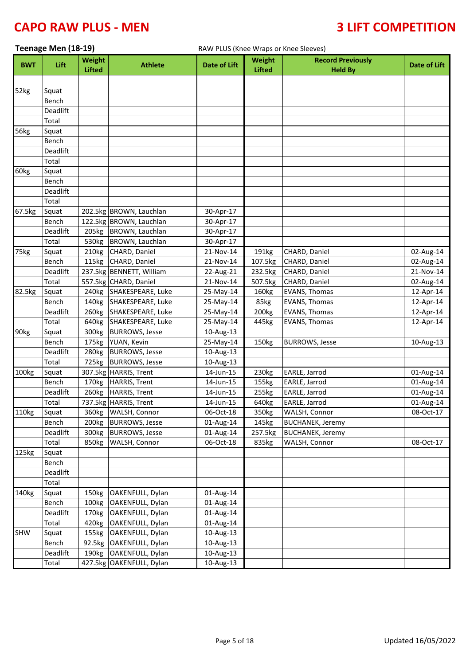|                   | Teenage Men (18-19) |                   |                          | RAW PLUS (Knee Wraps or Knee Sleeves) |                   |                          |                     |
|-------------------|---------------------|-------------------|--------------------------|---------------------------------------|-------------------|--------------------------|---------------------|
| <b>BWT</b>        | Lift                | Weight            | <b>Athlete</b>           | Date of Lift                          | Weight            | <b>Record Previously</b> | <b>Date of Lift</b> |
|                   |                     | <b>Lifted</b>     |                          |                                       | <b>Lifted</b>     | <b>Held By</b>           |                     |
|                   |                     |                   |                          |                                       |                   |                          |                     |
| 52kg              | Squat<br>Bench      |                   |                          |                                       |                   |                          |                     |
|                   | Deadlift            |                   |                          |                                       |                   |                          |                     |
|                   | Total               |                   |                          |                                       |                   |                          |                     |
| 56kg              | Squat               |                   |                          |                                       |                   |                          |                     |
|                   | Bench               |                   |                          |                                       |                   |                          |                     |
|                   | Deadlift            |                   |                          |                                       |                   |                          |                     |
|                   | Total               |                   |                          |                                       |                   |                          |                     |
| 60kg              | Squat               |                   |                          |                                       |                   |                          |                     |
|                   | Bench               |                   |                          |                                       |                   |                          |                     |
|                   | Deadlift            |                   |                          |                                       |                   |                          |                     |
|                   | Total               |                   |                          |                                       |                   |                          |                     |
| 67.5kg            | Squat               |                   | 202.5kg BROWN, Lauchlan  | 30-Apr-17                             |                   |                          |                     |
|                   | Bench               |                   | 122.5kg BROWN, Lauchlan  | 30-Apr-17                             |                   |                          |                     |
|                   | Deadlift            | 205kg             | BROWN, Lauchlan          | 30-Apr-17                             |                   |                          |                     |
|                   | Total               | 530 <sub>kg</sub> | BROWN, Lauchlan          | 30-Apr-17                             |                   |                          |                     |
| 75kg              | Squat               | 210kg             | CHARD, Daniel            | 21-Nov-14                             | 191kg             | CHARD, Daniel            | 02-Aug-14           |
|                   | Bench               |                   | 115kg CHARD, Daniel      | 21-Nov-14                             | 107.5kg           | CHARD, Daniel            | 02-Aug-14           |
|                   | Deadlift            |                   | 237.5kg BENNETT, William | 22-Aug-21                             | 232.5kg           | CHARD, Daniel            | 21-Nov-14           |
|                   | Total               |                   | 557.5kg CHARD, Daniel    | 21-Nov-14                             | 507.5kg           | CHARD, Daniel            | 02-Aug-14           |
| 82.5kg            | Squat               | 240 <sub>kg</sub> | SHAKESPEARE, Luke        | 25-May-14                             | 160kg             | <b>EVANS, Thomas</b>     | 12-Apr-14           |
|                   | Bench               |                   | 140kg SHAKESPEARE, Luke  | 25-May-14                             | 85kg              | EVANS, Thomas            | 12-Apr-14           |
|                   | Deadlift            | 260 <sub>kg</sub> | SHAKESPEARE, Luke        | 25-May-14                             | 200 <sub>kg</sub> | EVANS, Thomas            | 12-Apr-14           |
|                   | Total               | 640kg             | SHAKESPEARE, Luke        | 25-May-14                             | 445kg             | EVANS, Thomas            | 12-Apr-14           |
| 90kg              | Squat               | 300kg             | <b>BURROWS, Jesse</b>    | 10-Aug-13                             |                   |                          |                     |
|                   | Bench               |                   | 175kg YUAN, Kevin        | 25-May-14                             | 150kg             | <b>BURROWS, Jesse</b>    | 10-Aug-13           |
|                   | Deadlift            | 280 <sub>kg</sub> | <b>BURROWS, Jesse</b>    | 10-Aug-13                             |                   |                          |                     |
|                   | Total               | 725kg             | <b>BURROWS, Jesse</b>    | 10-Aug-13                             |                   |                          |                     |
| 100 <sub>kg</sub> | Squat               |                   | 307.5kg HARRIS, Trent    | 14-Jun-15                             | 230kg             | EARLE, Jarrod            | 01-Aug-14           |
|                   | Bench               | 170 <sub>kg</sub> | <b>HARRIS, Trent</b>     | 14-Jun-15                             | 155kg             | EARLE, Jarrod            | 01-Aug-14           |
|                   | Deadlift            |                   | 260kg HARRIS, Trent      | 14-Jun-15                             | 255kg             | EARLE, Jarrod            | 01-Aug-14           |
|                   | Total               |                   | 737.5kg HARRIS, Trent    | 14-Jun-15                             | 640kg             | EARLE, Jarrod            | 01-Aug-14           |
| 110kg             | Squat               | 360kg             | WALSH, Connor            | 06-Oct-18                             | 350kg             | WALSH, Connor            | 08-Oct-17           |
|                   | Bench               | 200 <sub>kg</sub> | <b>BURROWS, Jesse</b>    | 01-Aug-14                             | 145kg             | <b>BUCHANEK, Jeremy</b>  |                     |
|                   | Deadlift            | 300kg             | <b>BURROWS, Jesse</b>    | 01-Aug-14                             | 257.5kg           | <b>BUCHANEK, Jeremy</b>  |                     |
|                   | Total               | 850kg             | WALSH, Connor            | 06-Oct-18                             | 835kg             | WALSH, Connor            | 08-Oct-17           |
| 125kg             | Squat               |                   |                          |                                       |                   |                          |                     |
|                   | Bench               |                   |                          |                                       |                   |                          |                     |
|                   | Deadlift            |                   |                          |                                       |                   |                          |                     |
|                   | Total               |                   |                          |                                       |                   |                          |                     |
| 140kg             | Squat               | 150kg             | OAKENFULL, Dylan         | 01-Aug-14                             |                   |                          |                     |
|                   | Bench               | 100kg             | OAKENFULL, Dylan         | 01-Aug-14                             |                   |                          |                     |
|                   | Deadlift            | 170 <sub>kg</sub> | OAKENFULL, Dylan         | 01-Aug-14                             |                   |                          |                     |
|                   | Total               | 420kg             | OAKENFULL, Dylan         | 01-Aug-14                             |                   |                          |                     |
| <b>SHW</b>        | Squat               | 155kg             | OAKENFULL, Dylan         | 10-Aug-13                             |                   |                          |                     |
|                   | Bench               |                   | 92.5kg OAKENFULL, Dylan  | 10-Aug-13                             |                   |                          |                     |
|                   | Deadlift            | 190kg             | OAKENFULL, Dylan         | 10-Aug-13                             |                   |                          |                     |
|                   | Total               |                   | 427.5kg OAKENFULL, Dylan | 10-Aug-13                             |                   |                          |                     |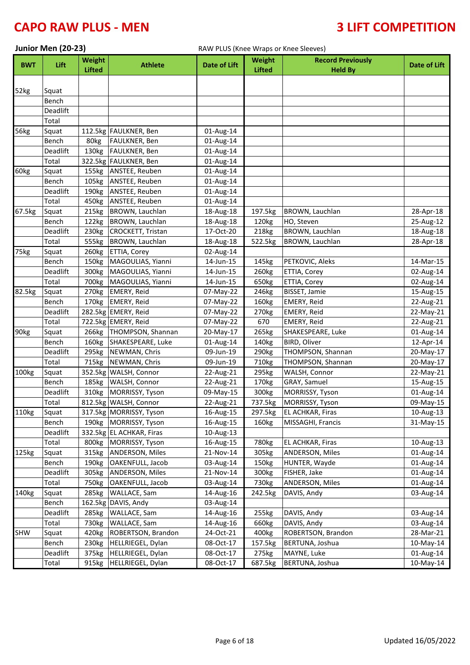# **CAPO RAW PLUS - MEN 4 2008 10 2009 10 2009 10 3 2 2 2 3 2 2 3 2 4 7 2 3 2 4 7 2 3 4 7 2 3 4 7 3 4 7 2 3 4 7 2 4 7 2 4 7 2 4 7 2 4 7 2 4 7 2 4 7 2 4 7 2 4 7 2 4 7 2 4 7 2 4 7 2 4 7 2 4 7 2 4 7 2 4 7 2 4 7 2 4 7 2 4 7 2 4 7**

|            | Junior Men (20-23) |                                |                          | RAW PLUS (Knee Wraps or Knee Sleeves) |                                |                                            |              |
|------------|--------------------|--------------------------------|--------------------------|---------------------------------------|--------------------------------|--------------------------------------------|--------------|
| <b>BWT</b> | Lift               | <b>Weight</b><br><b>Lifted</b> | <b>Athlete</b>           | <b>Date of Lift</b>                   | <b>Weight</b><br><b>Lifted</b> | <b>Record Previously</b><br><b>Held By</b> | Date of Lift |
|            |                    |                                |                          |                                       |                                |                                            |              |
| 52kg       | Squat              |                                |                          |                                       |                                |                                            |              |
|            | Bench              |                                |                          |                                       |                                |                                            |              |
|            | Deadlift           |                                |                          |                                       |                                |                                            |              |
|            | Total              |                                |                          |                                       |                                |                                            |              |
| 56kg       | Squat              |                                | 112.5kg FAULKNER, Ben    | 01-Aug-14                             |                                |                                            |              |
|            | Bench              | 80kg                           | FAULKNER, Ben            | 01-Aug-14                             |                                |                                            |              |
|            | Deadlift           | 130kg                          | <b>FAULKNER, Ben</b>     | 01-Aug-14                             |                                |                                            |              |
|            | Total              |                                | 322.5kg FAULKNER, Ben    | 01-Aug-14                             |                                |                                            |              |
| 60kg       | Squat              | 155kg                          | ANSTEE, Reuben           | 01-Aug-14                             |                                |                                            |              |
|            | Bench              | 105kg                          | ANSTEE, Reuben           | 01-Aug-14                             |                                |                                            |              |
|            | Deadlift           | 190kg                          | ANSTEE, Reuben           | 01-Aug-14                             |                                |                                            |              |
|            | Total              | 450kg                          | ANSTEE, Reuben           | 01-Aug-14                             |                                |                                            |              |
| 67.5kg     | Squat              | 215kg                          | BROWN, Lauchlan          | 18-Aug-18                             | 197.5kg                        | BROWN, Lauchlan                            | 28-Apr-18    |
|            | Bench              | 122kg                          | BROWN, Lauchlan          | 18-Aug-18                             | 120kg                          | HO, Steven                                 | 25-Aug-12    |
|            | Deadlift           | 230kg                          | CROCKETT, Tristan        | 17-Oct-20                             | 218kg                          | BROWN, Lauchlan                            | 18-Aug-18    |
|            | Total              | 555kg                          | BROWN, Lauchlan          | 18-Aug-18                             | 522.5kg                        | BROWN, Lauchlan                            | 28-Apr-18    |
| 75kg       | Squat              | 260kg                          | ETTIA, Corey             | 02-Aug-14                             |                                |                                            |              |
|            | Bench              | 150kg                          | MAGOULIAS, Yianni        | 14-Jun-15                             | 145kg                          | PETKOVIC, Aleks                            | 14-Mar-15    |
|            | Deadlift           | 300kg                          | MAGOULIAS, Yianni        | 14-Jun-15                             | 260kg                          | ETTIA, Corey                               | 02-Aug-14    |
|            | Total              | 700 <sub>kg</sub>              | MAGOULIAS, Yianni        | 14-Jun-15                             | 650kg                          | ETTIA, Corey                               | 02-Aug-14    |
| 82.5kg     | Squat              | 270 <sub>kg</sub>              | <b>EMERY, Reid</b>       | 07-May-22                             | 246kg                          | <b>BISSET, Jamie</b>                       | 15-Aug-15    |
|            | Bench              | 170 <sub>kg</sub>              | <b>EMERY, Reid</b>       | 07-May-22                             | 160kg                          | EMERY, Reid                                | 22-Aug-21    |
|            | Deadlift           |                                | 282.5kg EMERY, Reid      | 07-May-22                             | 270kg                          | EMERY, Reid                                | 22-May-21    |
|            | Total              |                                | 722.5kg EMERY, Reid      | 07-May-22                             | 670                            | EMERY, Reid                                | 22-Aug-21    |
| 90kg       | Squat              | 266kg                          | THOMPSON, Shannan        | 20-May-17                             | 265kg                          | SHAKESPEARE, Luke                          | 01-Aug-14    |
|            | Bench              | 160kg                          | SHAKESPEARE, Luke        | 01-Aug-14                             | 140kg                          | BIRD, Oliver                               | 12-Apr-14    |
|            | Deadlift           | 295kg                          | NEWMAN, Chris            | 09-Jun-19                             | 290kg                          | THOMPSON, Shannan                          | 20-May-17    |
|            | Total              | 715kg                          | NEWMAN, Chris            | 09-Jun-19                             | 710kg                          | THOMPSON, Shannan                          | 20-May-17    |
| 100kg      | Squat              |                                | 352.5kg WALSH, Connor    | 22-Aug-21                             | 295kg                          | WALSH, Connor                              | 22-May-21    |
|            | Bench              | 185kg                          | WALSH, Connor            | 22-Aug-21                             | 170kg                          | GRAY, Samuel                               | 15-Aug-15    |
|            | Deadlift           | 310 <sub>kg</sub>              | MORRISSY, Tyson          | 09-May-15                             | 300kg                          | MORRISSY, Tyson                            | 01-Aug-14    |
|            | Total              |                                | 812.5kg WALSH, Connor    | 22-Aug-21                             | 737.5kg                        | MORRISSY, Tyson                            | 09-May-15    |
| 110kg      | Squat              |                                | 317.5kg MORRISSY, Tyson  | 16-Aug-15                             | 297.5kg                        | EL ACHKAR, Firas                           | 10-Aug-13    |
|            | Bench              | 190kg                          | MORRISSY, Tyson          | 16-Aug-15                             | 160kg                          | MISSAGHI, Francis                          | 31-May-15    |
|            | Deadlift           |                                | 332.5kg EL ACHKAR, Firas | 10-Aug-13                             |                                |                                            |              |
|            | Total              |                                | 800kg MORRISSY, Tyson    | 16-Aug-15                             | 780kg                          | EL ACHKAR, Firas                           | 10-Aug-13    |
| 125kg      | Squat              | 315kg                          | <b>ANDERSON, Miles</b>   | 21-Nov-14                             | 305kg                          | ANDERSON, Miles                            | 01-Aug-14    |
|            | Bench              | 190kg                          | OAKENFULL, Jacob         | 03-Aug-14                             | 150kg                          | HUNTER, Wayde                              | 01-Aug-14    |
|            | Deadlift           | 305kg                          | <b>ANDERSON, Miles</b>   | 21-Nov-14                             | 300 <sub>kg</sub>              | FISHER, Jake                               | 01-Aug-14    |
|            | Total              | 750 <sub>kg</sub>              | OAKENFULL, Jacob         | 03-Aug-14                             | 730kg                          | <b>ANDERSON, Miles</b>                     | 01-Aug-14    |
| 140kg      | Squat              | 285kg                          | WALLACE, Sam             | 14-Aug-16                             | 242.5kg                        | DAVIS, Andy                                | 03-Aug-14    |
|            | Bench              |                                | 162.5kg DAVIS, Andy      | 03-Aug-14                             |                                |                                            |              |
|            | Deadlift           | 285kg                          | WALLACE, Sam             | 14-Aug-16                             | 255kg                          | DAVIS, Andy                                | 03-Aug-14    |
|            | Total              | 730kg                          | WALLACE, Sam             | 14-Aug-16                             | 660kg                          | DAVIS, Andy                                | 03-Aug-14    |
| SHW        | Squat              | 420kg                          | ROBERTSON, Brandon       | 24-Oct-21                             | 400kg                          | ROBERTSON, Brandon                         | 28-Mar-21    |
|            | Bench              | 230kg                          | HELLRIEGEL, Dylan        | 08-Oct-17                             | 157.5kg                        | BERTUNA, Joshua                            | 10-May-14    |
|            | Deadlift           | 375kg                          | HELLRIEGEL, Dylan        | 08-Oct-17                             | 275kg                          | MAYNE, Luke                                | 01-Aug-14    |
|            | Total              |                                | 915kg HELLRIEGEL, Dylan  | 08-Oct-17                             | 687.5kg                        | BERTUNA, Joshua                            | 10-May-14    |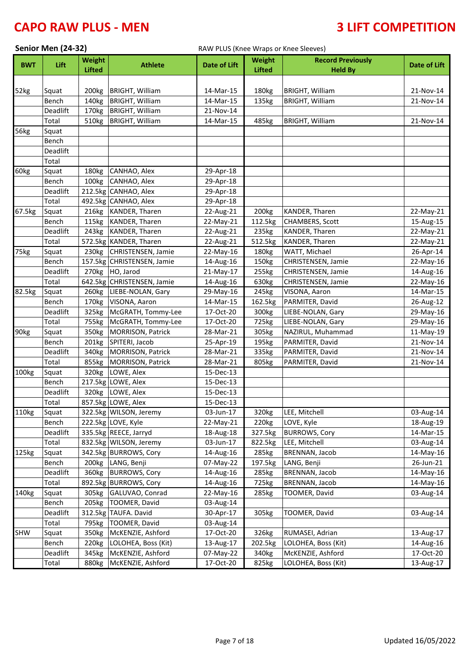|            | Senior Men (24-32) |                   |                            | RAW PLUS (Knee Wraps or Knee Sleeves) |                   |                          |              |  |
|------------|--------------------|-------------------|----------------------------|---------------------------------------|-------------------|--------------------------|--------------|--|
| <b>BWT</b> | Lift               | Weight            | <b>Athlete</b>             | <b>Date of Lift</b>                   | Weight            | <b>Record Previously</b> | Date of Lift |  |
|            |                    | <b>Lifted</b>     |                            |                                       | <b>Lifted</b>     | <b>Held By</b>           |              |  |
|            |                    |                   |                            |                                       |                   |                          |              |  |
| 52kg       | Squat              | 200 <sub>kg</sub> | <b>BRIGHT, William</b>     | 14-Mar-15                             | 180kg             | <b>BRIGHT, William</b>   | 21-Nov-14    |  |
|            | Bench              | 140kg             | <b>BRIGHT, William</b>     | 14-Mar-15                             | 135kg             | <b>BRIGHT, William</b>   | 21-Nov-14    |  |
|            | Deadlift           | 170 <sub>kg</sub> | <b>BRIGHT, William</b>     | 21-Nov-14                             |                   |                          |              |  |
|            | Total              | 510kg             | <b>BRIGHT, William</b>     | 14-Mar-15                             | 485kg             | <b>BRIGHT, William</b>   | 21-Nov-14    |  |
| 56kg       | Squat<br>Bench     |                   |                            |                                       |                   |                          |              |  |
|            | Deadlift           |                   |                            |                                       |                   |                          |              |  |
|            | Total              |                   |                            |                                       |                   |                          |              |  |
| 60kg       | Squat              | 180kg             | CANHAO, Alex               | 29-Apr-18                             |                   |                          |              |  |
|            | Bench              | 100kg             | CANHAO, Alex               | 29-Apr-18                             |                   |                          |              |  |
|            | Deadlift           |                   | 212.5kg CANHAO, Alex       | 29-Apr-18                             |                   |                          |              |  |
|            | Total              |                   | 492.5kg CANHAO, Alex       | 29-Apr-18                             |                   |                          |              |  |
| 67.5kg     | Squat              | 216kg             | <b>KANDER, Tharen</b>      | 22-Aug-21                             | 200 <sub>kg</sub> | KANDER, Tharen           | 22-May-21    |  |
|            | Bench              | 115kg             | KANDER, Tharen             | 22-May-21                             | 112.5kg           | CHAMBERS, Scott          | 15-Aug-15    |  |
|            | Deadlift           | 243kg             | KANDER, Tharen             | 22-Aug-21                             | 235kg             | KANDER, Tharen           | 22-May-21    |  |
|            | Total              |                   | 572.5kg KANDER, Tharen     | 22-Aug-21                             | 512.5kg           | KANDER, Tharen           | 22-May-21    |  |
| 75kg       | Squat              |                   | 230kg CHRISTENSEN, Jamie   | 22-May-16                             | 180kg             | WATT, Michael            | 26-Apr-14    |  |
|            | Bench              |                   | 157.5kg CHRISTENSEN, Jamie | 14-Aug-16                             | 150kg             | CHRISTENSEN, Jamie       | 22-May-16    |  |
|            | Deadlift           |                   | 270kg HO, Jarod            | 21-May-17                             | 255kg             | CHRISTENSEN, Jamie       | 14-Aug-16    |  |
|            | Total              |                   | 642.5kg CHRISTENSEN, Jamie | 14-Aug-16                             | 630kg             | CHRISTENSEN, Jamie       | 22-May-16    |  |
| 82.5kg     | Squat              | 260kg             | LIEBE-NOLAN, Gary          | 29-May-16                             | 245kg             | VISONA, Aaron            | 14-Mar-15    |  |
|            | Bench              | 170 <sub>kg</sub> | VISONA, Aaron              | 14-Mar-15                             | 162.5kg           | PARMITER, David          | 26-Aug-12    |  |
|            | Deadlift           | 325kg             | McGRATH, Tommy-Lee         | 17-Oct-20                             | 300kg             | LIEBE-NOLAN, Gary        | 29-May-16    |  |
|            | Total              | 755kg             | McGRATH, Tommy-Lee         | 17-Oct-20                             | 725kg             | LIEBE-NOLAN, Gary        | 29-May-16    |  |
| 90kg       | Squat              | 350kg             | MORRISON, Patrick          | 28-Mar-21                             | 305kg             | NAZIRUL, Muhammad        | 11-May-19    |  |
|            | Bench              | 201kg             | SPITERI, Jacob             | 25-Apr-19                             | 195kg             | PARMITER, David          | 21-Nov-14    |  |
|            | Deadlift           | 340 <sub>kg</sub> | <b>MORRISON, Patrick</b>   | 28-Mar-21                             | 335kg             | PARMITER, David          | 21-Nov-14    |  |
|            | Total              | 855kg             | MORRISON, Patrick          | 28-Mar-21                             | 805kg             | PARMITER, David          | 21-Nov-14    |  |
| 100kg      | Squat              | 320kg             | LOWE, Alex                 | 15-Dec-13                             |                   |                          |              |  |
|            | Bench              |                   | 217.5kg LOWE, Alex         | $15$ -Dec-13                          |                   |                          |              |  |
|            | Deadlift           | 320kg             | LOWE, Alex                 | 15-Dec-13                             |                   |                          |              |  |
|            | Total              |                   | 857.5kg LOWE, Alex         | 15-Dec-13                             |                   |                          |              |  |
| 110kg      | Squat              |                   | 322.5kg WILSON, Jeremy     | 03-Jun-17                             | 320kg             | LEE, Mitchell            | 03-Aug-14    |  |
|            | Bench              |                   | 222.5kg LOVE, Kyle         | 22-May-21                             | 220 <sub>kg</sub> | LOVE, Kyle               | 18-Aug-19    |  |
|            | Deadlift           |                   | 335.5kg REECE, Jarryd      | 18-Aug-18                             | 327.5kg           | <b>BURROWS, Cory</b>     | 14-Mar-15    |  |
|            | Total              |                   | 832.5kg WILSON, Jeremy     | 03-Jun-17                             | 822.5kg           | LEE, Mitchell            | 03-Aug-14    |  |
| 125kg      | Squat              |                   | 342.5kg BURROWS, Cory      | 14-Aug-16                             | 285kg             | <b>BRENNAN, Jacob</b>    | 14-May-16    |  |
|            | Bench              |                   | 200kg LANG, Benji          | 07-May-22                             | 197.5kg           | LANG, Benji              | 26-Jun-21    |  |
|            | Deadlift           | 360kg             | <b>BURROWS, Cory</b>       | 14-Aug-16                             | 285kg             | BRENNAN, Jacob           | 14-May-16    |  |
|            | Total              |                   | 892.5kg BURROWS, Cory      | 14-Aug-16                             | 725kg             | BRENNAN, Jacob           | 14-May-16    |  |
| 140kg      | Squat              | 305kg             | GALUVAO, Conrad            | 22-May-16                             | 285kg             | TOOMER, David            | 03-Aug-14    |  |
|            | Bench              | 205kg             | TOOMER, David              | 03-Aug-14                             |                   |                          |              |  |
|            | Deadlift           |                   | 312.5kg TAUFA. David       | 30-Apr-17                             | 305kg             | TOOMER, David            | 03-Aug-14    |  |
|            | Total              | 795kg             | TOOMER, David              | 03-Aug-14                             |                   |                          |              |  |
| <b>SHW</b> | Squat              | 350 <sub>kg</sub> | McKENZIE, Ashford          | 17-Oct-20                             | 326kg             | RUMASEI, Adrian          | 13-Aug-17    |  |
|            | Bench              | 220 <sub>kg</sub> | LOLOHEA, Boss (Kit)        | 13-Aug-17                             | 202.5kg           | LOLOHEA, Boss (Kit)      | 14-Aug-16    |  |
|            | Deadlift           | 345kg             | McKENZIE, Ashford          | 07-May-22                             | 340kg             | McKENZIE, Ashford        | 17-Oct-20    |  |
|            | Total              | 880kg             | McKENZIE, Ashford          | 17-Oct-20                             | 825kg             | LOLOHEA, Boss (Kit)      | 13-Aug-17    |  |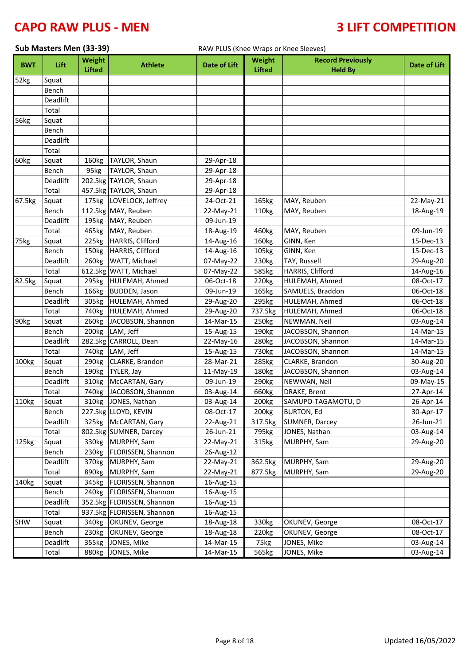| Sub Masters Men (33-39) |             |                         |                            | RAW PLUS (Knee Wraps or Knee Sleeves) |                                |                                            |                     |  |  |
|-------------------------|-------------|-------------------------|----------------------------|---------------------------------------|--------------------------------|--------------------------------------------|---------------------|--|--|
| <b>BWT</b>              | <b>Lift</b> | Weight<br><b>Lifted</b> | <b>Athlete</b>             | <b>Date of Lift</b>                   | <b>Weight</b><br><b>Lifted</b> | <b>Record Previously</b><br><b>Held By</b> | <b>Date of Lift</b> |  |  |
| 52kg                    | Squat       |                         |                            |                                       |                                |                                            |                     |  |  |
|                         | Bench       |                         |                            |                                       |                                |                                            |                     |  |  |
|                         | Deadlift    |                         |                            |                                       |                                |                                            |                     |  |  |
|                         | Total       |                         |                            |                                       |                                |                                            |                     |  |  |
| 56kg                    | Squat       |                         |                            |                                       |                                |                                            |                     |  |  |
|                         | Bench       |                         |                            |                                       |                                |                                            |                     |  |  |
|                         | Deadlift    |                         |                            |                                       |                                |                                            |                     |  |  |
|                         | Total       |                         |                            |                                       |                                |                                            |                     |  |  |
| 60kg                    | Squat       | 160kg                   | TAYLOR, Shaun              | 29-Apr-18                             |                                |                                            |                     |  |  |
|                         | Bench       | 95kg                    | TAYLOR, Shaun              | 29-Apr-18                             |                                |                                            |                     |  |  |
|                         | Deadlift    |                         | 202.5kg TAYLOR, Shaun      | 29-Apr-18                             |                                |                                            |                     |  |  |
|                         | Total       |                         | 457.5kg TAYLOR, Shaun      | 29-Apr-18                             |                                |                                            |                     |  |  |
| 67.5kg                  | Squat       | 175kg                   | LOVELOCK, Jeffrey          | 24-Oct-21                             | 165kg                          | MAY, Reuben                                | 22-May-21           |  |  |
|                         | Bench       |                         | 112.5kg MAY, Reuben        | 22-May-21                             | 110kg                          | MAY, Reuben                                | 18-Aug-19           |  |  |
|                         | Deadlift    |                         | 195kg MAY, Reuben          | 09-Jun-19                             |                                |                                            |                     |  |  |
|                         | Total       | 465kg                   | MAY, Reuben                | 18-Aug-19                             | 460kg                          | MAY, Reuben                                | 09-Jun-19           |  |  |
| 75kg                    | Squat       | 225kg                   | HARRIS, Clifford           | 14-Aug-16                             | 160kg                          | GINN, Ken                                  | 15-Dec-13           |  |  |
|                         | Bench       | 150kg                   | HARRIS, Clifford           | 14-Aug-16                             | 105kg                          | GINN, Ken                                  | 15-Dec-13           |  |  |
|                         | Deadlift    | 260kg                   | WATT, Michael              | 07-May-22                             | 230kg                          | TAY, Russell                               | 29-Aug-20           |  |  |
|                         | Total       |                         | 612.5kg WATT, Michael      | 07-May-22                             | 585kg                          | HARRIS, Clifford                           | 14-Aug-16           |  |  |
| 82.5kg                  | Squat       | 295kg                   | HULEMAH, Ahmed             | 06-Oct-18                             | 220kg                          | HULEMAH, Ahmed                             | 08-Oct-17           |  |  |
|                         | Bench       | 166kg                   | <b>BUDDEN, Jason</b>       | 09-Jun-19                             | 165kg                          | SAMUELS, Braddon                           | 06-Oct-18           |  |  |
|                         | Deadlift    | 305kg                   | HULEMAH, Ahmed             | 29-Aug-20                             | 295kg                          | HULEMAH, Ahmed                             | 06-Oct-18           |  |  |
|                         | Total       | 740 <sub>kg</sub>       | HULEMAH, Ahmed             | 29-Aug-20                             | 737.5kg                        | HULEMAH, Ahmed                             | 06-Oct-18           |  |  |
| 90kg                    | Squat       | 260kg                   | JACOBSON, Shannon          | 14-Mar-15                             | 250kg                          | NEWMAN, Neil                               | 03-Aug-14           |  |  |
|                         | Bench       | 200 <sub>kg</sub>       | LAM, Jeff                  | 15-Aug-15                             | 190kg                          | JACOBSON, Shannon                          | 14-Mar-15           |  |  |
|                         | Deadlift    | 282.5kg                 | CARROLL, Dean              | 22-May-16                             | 280kg                          | JACOBSON, Shannon                          | 14-Mar-15           |  |  |
|                         | Total       | 740 <sub>kg</sub>       | LAM, Jeff                  | 15-Aug-15                             | 730kg                          | JACOBSON, Shannon                          | 14-Mar-15           |  |  |
| 100kg                   | Squat       | 290 <sub>kg</sub>       | CLARKE, Brandon            | 28-Mar-21                             | 285kg                          | CLARKE, Brandon                            | 30-Aug-20           |  |  |
|                         | Bench       | 190kg                   | TYLER, Jay                 | 11-May-19                             | 180kg                          | JACOBSON, Shannon                          | 03-Aug-14           |  |  |
|                         | Deadlift    | 310kg                   | McCARTAN, Gary             | 09-Jun-19                             | 290kg                          | NEWWAN, Neil                               | 09-May-15           |  |  |
|                         | Total       |                         | 740kg JACOBSON, Shannon    | 03-Aug-14                             | 660kg                          | DRAKE, Brent                               | 27-Apr-14           |  |  |
| 110kg                   | Squat       |                         | 310kg JONES, Nathan        | 03-Aug-14                             | 200 <sub>kg</sub>              | SAMUPO-TAGAMOTU, D                         | 26-Apr-14           |  |  |
|                         | Bench       |                         | 227.5kg LLOYD, KEVIN       | 08-Oct-17                             | 200kg                          | <b>BURTON, Ed</b>                          | 30-Apr-17           |  |  |
|                         | Deadlift    | 325kg                   | McCARTAN, Gary             | 22-Aug-21                             | 317.5kg                        | SUMNER, Darcey                             | 26-Jun-21           |  |  |
|                         | Total       |                         | 802.5kg SUMNER, Darcey     | 26-Jun-21                             | 795kg                          | JONES, Nathan                              | 03-Aug-14           |  |  |
| 125kg                   | Squat       | 330kg                   | MURPHY, Sam                | 22-May-21                             | 315kg                          | MURPHY, Sam                                | 29-Aug-20           |  |  |
|                         | Bench       | 230 <sub>kg</sub>       | FLORISSEN, Shannon         | 26-Aug-12                             |                                |                                            |                     |  |  |
|                         | Deadlift    | 370kg                   | MURPHY, Sam                | 22-May-21                             | 362.5kg                        | MURPHY, Sam                                | 29-Aug-20           |  |  |
|                         | Total       | 890kg                   | MURPHY, Sam                | 22-May-21                             | 877.5kg                        | MURPHY, Sam                                | 29-Aug-20           |  |  |
| 140kg                   | Squat       | 345kg                   | FLORISSEN, Shannon         | 16-Aug-15                             |                                |                                            |                     |  |  |
|                         | Bench       | 240 <sub>kg</sub>       | FLORISSEN, Shannon         | 16-Aug-15                             |                                |                                            |                     |  |  |
|                         | Deadlift    |                         | 352.5kg FLORISSEN, Shannon | 16-Aug-15                             |                                |                                            |                     |  |  |
|                         | Total       |                         | 937.5kg FLORISSEN, Shannon | 16-Aug-15                             |                                |                                            |                     |  |  |
| <b>SHW</b>              | Squat       | 340kg                   | OKUNEV, George             | 18-Aug-18                             | 330kg                          | OKUNEV, George                             | 08-Oct-17           |  |  |
|                         | Bench       | 230kg                   | OKUNEV, George             | 18-Aug-18                             | 220 <sub>kg</sub>              | OKUNEV, George                             | 08-Oct-17           |  |  |
|                         | Deadlift    | 355kg                   | JONES, Mike                | 14-Mar-15                             | 75kg                           | JONES, Mike                                | 03-Aug-14           |  |  |
|                         | Total       | 880kg                   | JONES, Mike                | 14-Mar-15                             | 565kg                          | JONES, Mike                                | 03-Aug-14           |  |  |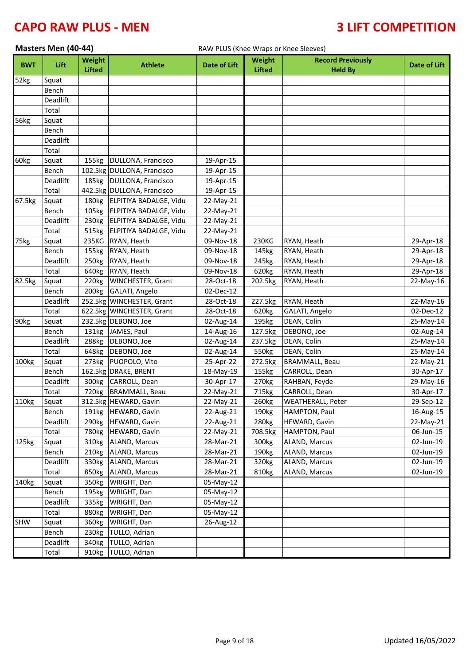# **CAPO RAW PLUS - MEN 4 2008 10 2009 10 2009 10 3 2 2 2 3 2 2 3 2 4 7 2 3 2 4 7 2 3 4 7 2 3 4 7 3 4 7 2 3 4 7 2 4 7 2 4 7 2 4 7 2 4 7 2 4 7 2 4 7 2 4 7 2 4 7 2 4 7 2 4 7 2 4 7 2 4 7 2 4 7 2 4 7 2 4 7 2 4 7 2 4 7 2 4 7 2 4 7**

|                   | Masters Men (40-44) |                   |                            | RAW PLUS (Knee Wraps or Knee Sleeves) |                   |                          |                     |  |
|-------------------|---------------------|-------------------|----------------------------|---------------------------------------|-------------------|--------------------------|---------------------|--|
|                   |                     | Weight            |                            |                                       | Weight            | <b>Record Previously</b> |                     |  |
| <b>BWT</b>        | Lift                | <b>Lifted</b>     | <b>Athlete</b>             | <b>Date of Lift</b>                   | <b>Lifted</b>     | <b>Held By</b>           | <b>Date of Lift</b> |  |
| 52kg              | Squat               |                   |                            |                                       |                   |                          |                     |  |
|                   | Bench               |                   |                            |                                       |                   |                          |                     |  |
|                   | <b>Deadlift</b>     |                   |                            |                                       |                   |                          |                     |  |
|                   | Total               |                   |                            |                                       |                   |                          |                     |  |
| 56kg              | Squat               |                   |                            |                                       |                   |                          |                     |  |
|                   | Bench               |                   |                            |                                       |                   |                          |                     |  |
|                   | Deadlift            |                   |                            |                                       |                   |                          |                     |  |
|                   | Total               |                   |                            |                                       |                   |                          |                     |  |
| 60kg              | Squat               | 155kg             | DULLONA, Francisco         | 19-Apr-15                             |                   |                          |                     |  |
|                   | Bench               |                   | 102.5kg DULLONA, Francisco | 19-Apr-15                             |                   |                          |                     |  |
|                   | Deadlift            |                   | 185kg   DULLONA, Francisco | 19-Apr-15                             |                   |                          |                     |  |
|                   | Total               |                   | 442.5kg DULLONA, Francisco | 19-Apr-15                             |                   |                          |                     |  |
| 67.5kg            | Squat               | 180kg             | ELPITIYA BADALGE, Vidu     | 22-May-21                             |                   |                          |                     |  |
|                   | Bench               | 105kg             | ELPITIYA BADALGE, Vidu     | 22-May-21                             |                   |                          |                     |  |
|                   | Deadlift            | 230 <sub>kg</sub> | ELPITIYA BADALGE, Vidu     | 22-May-21                             |                   |                          |                     |  |
|                   | Total               | 515kg             | ELPITIYA BADALGE, Vidu     | 22-May-21                             |                   |                          |                     |  |
| 75kg              | Squat               | 235KG             | RYAN, Heath                | 09-Nov-18                             | 230KG             | RYAN, Heath              | 29-Apr-18           |  |
|                   | Bench               | 155kg             | RYAN, Heath                | 09-Nov-18                             | 145kg             | RYAN, Heath              | 29-Apr-18           |  |
|                   | Deadlift            | 250kg             | RYAN, Heath                | 09-Nov-18                             | 245kg             | RYAN, Heath              | 29-Apr-18           |  |
|                   | Total               | 640kg             | RYAN, Heath                | 09-Nov-18                             | 620kg             | RYAN, Heath              | 29-Apr-18           |  |
| 82.5kg            | Squat               | 220 <sub>kg</sub> | <b>WINCHESTER, Grant</b>   | 28-Oct-18                             | 202.5kg           | RYAN, Heath              | 22-May-16           |  |
|                   | Bench               | 200 <sub>kg</sub> | GALATI, Angelo             | 02-Dec-12                             |                   |                          |                     |  |
|                   | Deadlift            |                   | 252.5kg WINCHESTER, Grant  | 28-Oct-18                             | 227.5kg           | RYAN, Heath              | 22-May-16           |  |
|                   | Total               |                   | 622.5kg WINCHESTER, Grant  | 28-Oct-18                             | 620kg             | GALATI, Angelo           | 02-Dec-12           |  |
| 90kg              | Squat               |                   | 232.5kg DEBONO, Joe        | 02-Aug-14                             | 195kg             | DEAN, Colin              | 25-May-14           |  |
|                   | Bench               | 131kg             | JAMES, Paul                | 14-Aug-16                             | 127.5kg           | DEBONO, Joe              | 02-Aug-14           |  |
|                   | Deadlift            | 288kg             | DEBONO, Joe                | 02-Aug-14                             | 237.5kg           | DEAN, Colin              | 25-May-14           |  |
|                   | Total               | 648kg             | DEBONO, Joe                | 02-Aug-14                             | 550kg             | DEAN, Colin              | 25-May-14           |  |
| 100kg             | Squat               | 273kg             | PUOPOLO, Vito              | 25-Apr-22                             | 272.5kg           | <b>BRAMMALL, Beau</b>    | 22-May-21           |  |
|                   | Bench               |                   | 162.5kg DRAKE, BRENT       | 18-May-19                             | 155kg             | CARROLL, Dean            | 30-Apr-17           |  |
|                   | Deadlift            | 300kg             | CARROLL, Dean              | 30-Apr-17                             | 270 <sub>kg</sub> | RAHBAN, Feyde            | 29-May-16           |  |
|                   | Total               | 720 <sub>kg</sub> | <b>BRAMMALL, Beau</b>      | 22-May-21                             | 715kg             | CARROLL, Dean            | 30-Apr-17           |  |
| 110kg             | Squat               |                   | 312.5kg HEWARD, Gavin      | 22-May-21                             | 260kg             | <b>WEATHERALL, Peter</b> | 29-Sep-12           |  |
|                   | Bench               | 191kg             | <b>HEWARD, Gavin</b>       | 22-Aug-21                             | 190kg             | HAMPTON, Paul            | 16-Aug-15           |  |
|                   | Deadlift            | 290 <sub>kg</sub> | HEWARD, Gavin              | 22-Aug-21                             | 280kg             | HEWARD, Gavin            | 22-May-21           |  |
|                   | Total               | 780kg             | HEWARD, Gavin              | 22-May-21                             | 708.5kg           | HAMPTON, Paul            | 06-Jun-15           |  |
| 125kg             | Squat               |                   | 310kg ALAND, Marcus        | 28-Mar-21                             | 300kg             | ALAND, Marcus            | 02-Jun-19           |  |
|                   | Bench               |                   | 210kg ALAND, Marcus        | 28-Mar-21                             | 190kg             | ALAND, Marcus            | 02-Jun-19           |  |
|                   | Deadlift            | 330kg             | <b>ALAND, Marcus</b>       | 28-Mar-21                             | 320kg             | ALAND, Marcus            | 02-Jun-19           |  |
|                   | Total               | 850kg             | ALAND, Marcus              | 28-Mar-21                             | 810kg             | ALAND, Marcus            | 02-Jun-19           |  |
| 140 <sub>kg</sub> | Squat               | 350kg             | WRIGHT, Dan                | 05-May-12                             |                   |                          |                     |  |
|                   | Bench               | 195kg             | WRIGHT, Dan                | 05-May-12                             |                   |                          |                     |  |
|                   | Deadlift            | 335kg             | WRIGHT, Dan                | 05-May-12                             |                   |                          |                     |  |
|                   | Total               | 880kg             | WRIGHT, Dan                | 05-May-12                             |                   |                          |                     |  |
| SHW               | Squat               | 360kg             | WRIGHT, Dan                | 26-Aug-12                             |                   |                          |                     |  |
|                   | Bench               | 230kg             | TULLO, Adrian              |                                       |                   |                          |                     |  |
|                   | Deadlift            | 340 <sub>kg</sub> | TULLO, Adrian              |                                       |                   |                          |                     |  |
|                   | Total               |                   | 910kg TULLO, Adrian        |                                       |                   |                          |                     |  |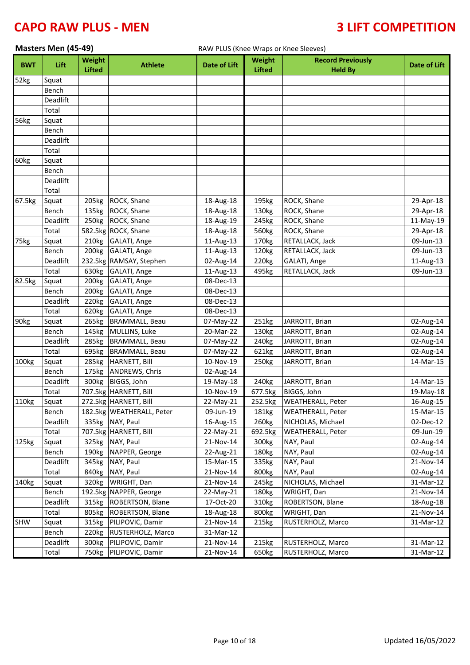|            | Masters Men (45-49) |                   |                           | RAW PLUS (Knee Wraps or Knee Sleeves) |                   |                          |              |  |
|------------|---------------------|-------------------|---------------------------|---------------------------------------|-------------------|--------------------------|--------------|--|
| <b>BWT</b> | Lift                | Weight            | <b>Athlete</b>            | <b>Date of Lift</b>                   | Weight            | <b>Record Previously</b> | Date of Lift |  |
|            |                     | <b>Lifted</b>     |                           |                                       | <b>Lifted</b>     | <b>Held By</b>           |              |  |
| 52kg       | Squat               |                   |                           |                                       |                   |                          |              |  |
|            | Bench               |                   |                           |                                       |                   |                          |              |  |
|            | Deadlift            |                   |                           |                                       |                   |                          |              |  |
|            | Total               |                   |                           |                                       |                   |                          |              |  |
| 56kg       | Squat               |                   |                           |                                       |                   |                          |              |  |
|            | Bench               |                   |                           |                                       |                   |                          |              |  |
|            | <b>Deadlift</b>     |                   |                           |                                       |                   |                          |              |  |
|            | Total               |                   |                           |                                       |                   |                          |              |  |
| 60kg       | Squat<br>Bench      |                   |                           |                                       |                   |                          |              |  |
|            | <b>Deadlift</b>     |                   |                           |                                       |                   |                          |              |  |
|            | Total               |                   |                           |                                       |                   |                          |              |  |
| 67.5kg     | Squat               | 205kg             | ROCK, Shane               | 18-Aug-18                             | 195kg             | ROCK, Shane              | 29-Apr-18    |  |
|            | Bench               | 135kg             | ROCK, Shane               | 18-Aug-18                             | 130kg             | ROCK, Shane              | 29-Apr-18    |  |
|            | Deadlift            | 250kg             | ROCK, Shane               | 18-Aug-19                             | 245kg             | ROCK, Shane              | 11-May-19    |  |
|            | Total               |                   | 582.5kg ROCK, Shane       | 18-Aug-18                             | 560kg             | ROCK, Shane              | 29-Apr-18    |  |
| 75kg       | Squat               |                   | 210kg GALATI, Ange        | 11-Aug-13                             | 170kg             | RETALLACK, Jack          | 09-Jun-13    |  |
|            | Bench               | 200 <sub>kg</sub> | GALATI, Ange              | 11-Aug-13                             | 120 <sub>kg</sub> | RETALLACK, Jack          | 09-Jun-13    |  |
|            | Deadlift            |                   | 232.5kg RAMSAY, Stephen   | 02-Aug-14                             | 220kg             | GALATI, Ange             | 11-Aug-13    |  |
|            | Total               |                   | 630kg GALATI, Ange        | 11-Aug-13                             | 495kg             | RETALLACK, Jack          | 09-Jun-13    |  |
| 82.5kg     | Squat               | 200kg             | GALATI, Ange              | 08-Dec-13                             |                   |                          |              |  |
|            | Bench               | 200 <sub>kg</sub> | GALATI, Ange              | 08-Dec-13                             |                   |                          |              |  |
|            | Deadlift            | 220 <sub>kg</sub> | GALATI, Ange              | 08-Dec-13                             |                   |                          |              |  |
|            | Total               | 620kg             | GALATI, Ange              | 08-Dec-13                             |                   |                          |              |  |
| 90kg       | Squat               | 265kg             | <b>BRAMMALL, Beau</b>     | 07-May-22                             | 251kg             | JARROTT, Brian           | 02-Aug-14    |  |
|            | Bench               | 145kg             | MULLINS, Luke             | 20-Mar-22                             | 130 <sub>kg</sub> | JARROTT, Brian           | 02-Aug-14    |  |
|            | Deadlift            | 285kg             | <b>BRAMMALL, Beau</b>     | 07-May-22                             | 240kg             | JARROTT, Brian           | 02-Aug-14    |  |
|            | Total               | 695kg             | <b>BRAMMALL, Beau</b>     | 07-May-22                             | 621kg             | JARROTT, Brian           | 02-Aug-14    |  |
| 100kg      | Squat               | 285kg             | HARNETT, Bill             | 10-Nov-19                             | 250kg             | JARROTT, Brian           | 14-Mar-15    |  |
|            | Bench               | 175kg             | ANDREWS, Chris            | 02-Aug-14                             |                   |                          |              |  |
|            | Deadlift            | 300kg             | BIGGS, John               | 19-May-18                             | 240kg             | JARROTT, Brian           | 14-Mar-15    |  |
|            | Total               |                   | 707.5kg HARNETT, Bill     | 10-Nov-19                             | 677.5kg           | BIGGS, John              | 19-May-18    |  |
| 110kg      | Squat               |                   | 272.5kg HARNETT, Bill     | 22-May-21                             | 252.5kg           | <b>WEATHERALL, Peter</b> | 16-Aug-15    |  |
|            | Bench               |                   | 182.5kg WEATHERALL, Peter | 09-Jun-19                             | 181kg             | <b>WEATHERALL, Peter</b> | 15-Mar-15    |  |
|            | Deadlift            |                   | 335kg NAY, Paul           | 16-Aug-15                             | 260kg             | NICHOLAS, Michael        | 02-Dec-12    |  |
|            | Total               |                   | 707.5kg HARNETT, Bill     | 22-May-21                             | 692.5kg           | <b>WEATHERALL, Peter</b> | 09-Jun-19    |  |
| 125kg      | Squat               |                   | 325kg NAY, Paul           | 21-Nov-14                             | 300kg             | NAY, Paul                | 02-Aug-14    |  |
|            | Bench               |                   | 190kg NAPPER, George      | 22-Aug-21                             | 180kg             | NAY, Paul                | 02-Aug-14    |  |
|            | Deadlift            | 345kg             | NAY, Paul                 | 15-Mar-15                             | 335kg             | NAY, Paul                | 21-Nov-14    |  |
|            | Total               | 840kg             | NAY, Paul                 | 21-Nov-14                             | 800kg             | NAY, Paul                | 02-Aug-14    |  |
| 140kg      | Squat               | 320kg             | WRIGHT, Dan               | 21-Nov-14                             | 245kg             | NICHOLAS, Michael        | 31-Mar-12    |  |
|            | Bench               |                   | 192.5kg NAPPER, George    | 22-May-21                             | 180kg             | WRIGHT, Dan              | 21-Nov-14    |  |
|            | Deadlift            | 315kg             | ROBERTSON, Blane          | 17-Oct-20                             | 310kg             | ROBERTSON, Blane         | 18-Aug-18    |  |
|            | Total               | 805kg             | ROBERTSON, Blane          | 18-Aug-18                             | 800kg             | WRIGHT, Dan              | 21-Nov-14    |  |
| SHW        | Squat               | 315kg             | PILIPOVIC, Damir          | 21-Nov-14                             | 215kg             | RUSTERHOLZ, Marco        | 31-Mar-12    |  |
|            | Bench               | 220kg             | RUSTERHOLZ, Marco         | 31-Mar-12                             |                   |                          |              |  |
|            | Deadlift            | 300kg             | PILIPOVIC, Damir          | 21-Nov-14                             | 215kg             | RUSTERHOLZ, Marco        | 31-Mar-12    |  |
|            | Total               | 750kg             | PILIPOVIC, Damir          | 21-Nov-14                             | 650kg             | RUSTERHOLZ, Marco        | 31-Mar-12    |  |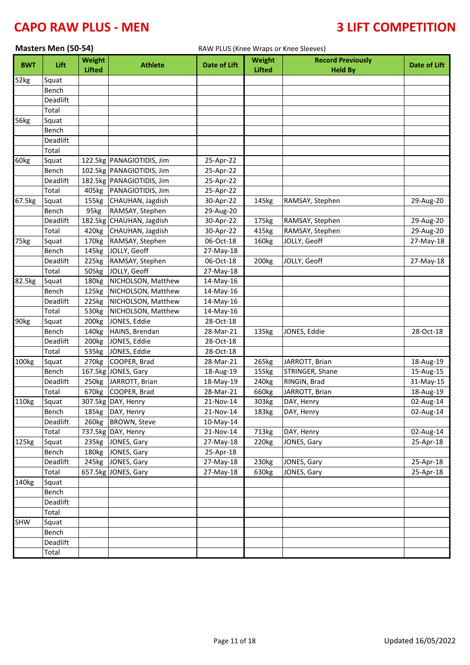|            | Masters Men (50-54) |                                |                           | RAW PLUS (Knee Wraps or Knee Sleeves) |                                |                                            |              |
|------------|---------------------|--------------------------------|---------------------------|---------------------------------------|--------------------------------|--------------------------------------------|--------------|
| <b>BWT</b> | Lift                | <b>Weight</b><br><b>Lifted</b> | <b>Athlete</b>            | <b>Date of Lift</b>                   | <b>Weight</b><br><b>Lifted</b> | <b>Record Previously</b><br><b>Held By</b> | Date of Lift |
| 52kg       | Squat               |                                |                           |                                       |                                |                                            |              |
|            | Bench               |                                |                           |                                       |                                |                                            |              |
|            | Deadlift            |                                |                           |                                       |                                |                                            |              |
|            | Total               |                                |                           |                                       |                                |                                            |              |
| 56kg       | Squat               |                                |                           |                                       |                                |                                            |              |
|            | Bench               |                                |                           |                                       |                                |                                            |              |
|            | Deadlift            |                                |                           |                                       |                                |                                            |              |
|            | Total               |                                |                           |                                       |                                |                                            |              |
| 60kg       | Squat               |                                | 122.5kg PANAGIOTIDIS, Jim | 25-Apr-22                             |                                |                                            |              |
|            | Bench               |                                | 102.5kg PANAGIOTIDIS, Jim | 25-Apr-22                             |                                |                                            |              |
|            | Deadlift            |                                | 182.5kg PANAGIOTIDIS, Jim | 25-Apr-22                             |                                |                                            |              |
|            | Total               | 405kg                          | PANAGIOTIDIS, Jim         | 25-Apr-22                             |                                |                                            |              |
| 67.5kg     | Squat               | 155kg                          | CHAUHAN, Jagdish          | 30-Apr-22                             | 145kg                          | RAMSAY, Stephen                            | 29-Aug-20    |
|            | Bench               | 95kg                           | RAMSAY, Stephen           | 29-Aug-20                             |                                |                                            |              |
|            | Deadlift            |                                | 182.5kg CHAUHAN, Jagdish  | 30-Apr-22                             | 175kg                          | RAMSAY, Stephen                            | 29-Aug-20    |
|            | Total               |                                | 420kg CHAUHAN, Jagdish    | 30-Apr-22                             | 415kg                          | RAMSAY, Stephen                            | 29-Aug-20    |
| 75kg       | Squat               | 170kg                          | RAMSAY, Stephen           | 06-Oct-18                             | 160kg                          | JOLLY, Geoff                               | 27-May-18    |
|            | Bench               | 145kg                          | JOLLY, Geoff              | 27-May-18                             |                                |                                            |              |
|            | Deadlift            | 225kg                          | RAMSAY, Stephen           | 06-Oct-18                             | 200 <sub>kg</sub>              | JOLLY, Geoff                               | 27-May-18    |
|            | Total               | 505kg                          | JOLLY, Geoff              | 27-May-18                             |                                |                                            |              |
| 82.5kg     | Squat               | 180kg                          | NICHOLSON, Matthew        | 14-May-16                             |                                |                                            |              |
|            | Bench               | 125kg                          | NICHOLSON, Matthew        | 14-May-16                             |                                |                                            |              |
|            | Deadlift            | 225kg                          | NICHOLSON, Matthew        | 14-May-16                             |                                |                                            |              |
|            | Total               | 530kg                          | NICHOLSON, Matthew        | 14-May-16                             |                                |                                            |              |
| 90kg       | Squat               | 200kg                          | JONES, Eddie              | 28-Oct-18                             |                                |                                            |              |
|            | Bench               | 140kg                          | HAINS, Brendan            | 28-Mar-21                             | 135kg                          | JONES, Eddie                               | 28-Oct-18    |
|            | Deadlift            | 200kg                          | JONES, Eddie              | 28-Oct-18                             |                                |                                            |              |
|            | Total               | 535kg                          | JONES, Eddie              | 28-Oct-18                             |                                |                                            |              |
| 100kg      | Squat               | 270 <sub>kg</sub>              | COOPER, Brad              | 28-Mar-21                             | 265kg                          | JARROTT, Brian                             | 18-Aug-19    |
|            | Bench               |                                | 167.5kg JONES, Gary       | 18-Aug-19                             | 155kg                          | STRINGER, Shane                            | 15-Aug-15    |
|            | Deadlift            | 250kg                          | JARROTT, Brian            | 18-May-19                             | 240kg                          | RINGIN, Brad                               | 31-May-15    |
|            | Total               |                                | 670kg COOPER, Brad        | 28-Mar-21                             | 660kg                          | JARROTT, Brian                             | 18-Aug-19    |
| 110kg      | Squat               |                                | 307.5kg DAY, Henry        | 21-Nov-14                             | 303kg                          | DAY, Henry                                 | 02-Aug-14    |
|            | Bench               |                                | 185kg DAY, Henry          | 21-Nov-14                             | 183kg                          | DAY, Henry                                 | 02-Aug-14    |
|            | Deadlift            | 260kg                          | <b>BROWN, Steve</b>       | 10-May-14                             |                                |                                            |              |
|            | Total               |                                | 737.5kg DAY, Henry        | 21-Nov-14                             | 713kg                          | DAY, Henry                                 | 02-Aug-14    |
| 125kg      | Squat               | 235kg                          | JONES, Gary               | 27-May-18                             | 220kg                          | JONES, Gary                                | 25-Apr-18    |
|            | Bench               |                                | 180kg JONES, Gary         | 25-Apr-18                             |                                |                                            |              |
|            | Deadlift            |                                | 245kg JONES, Gary         | 27-May-18                             | 230kg                          | JONES, Gary                                | 25-Apr-18    |
|            | Total               |                                | 657.5kg JONES, Gary       | 27-May-18                             | 630kg                          | JONES, Gary                                | 25-Apr-18    |
| 140kg      | Squat               |                                |                           |                                       |                                |                                            |              |
|            | Bench               |                                |                           |                                       |                                |                                            |              |
|            | Deadlift            |                                |                           |                                       |                                |                                            |              |
|            | Total               |                                |                           |                                       |                                |                                            |              |
| SHW        | Squat<br>Bench      |                                |                           |                                       |                                |                                            |              |
|            | Deadlift            |                                |                           |                                       |                                |                                            |              |
|            | Total               |                                |                           |                                       |                                |                                            |              |
|            |                     |                                |                           |                                       |                                |                                            |              |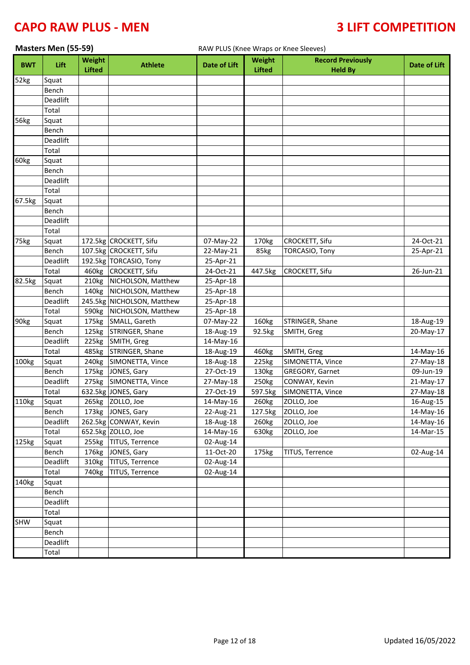|            | Masters Men (55-59) |                                |                                                  |                        | RAW PLUS (Knee Wraps or Knee Sleeves) |                                            |              |  |
|------------|---------------------|--------------------------------|--------------------------------------------------|------------------------|---------------------------------------|--------------------------------------------|--------------|--|
| <b>BWT</b> | Lift                | <b>Weight</b><br><b>Lifted</b> | <b>Athlete</b>                                   | <b>Date of Lift</b>    | <b>Weight</b><br><b>Lifted</b>        | <b>Record Previously</b><br><b>Held By</b> | Date of Lift |  |
| 52kg       | Squat               |                                |                                                  |                        |                                       |                                            |              |  |
|            | Bench               |                                |                                                  |                        |                                       |                                            |              |  |
|            | Deadlift            |                                |                                                  |                        |                                       |                                            |              |  |
|            | Total               |                                |                                                  |                        |                                       |                                            |              |  |
| 56kg       | Squat               |                                |                                                  |                        |                                       |                                            |              |  |
|            | Bench               |                                |                                                  |                        |                                       |                                            |              |  |
|            | Deadlift            |                                |                                                  |                        |                                       |                                            |              |  |
|            | Total               |                                |                                                  |                        |                                       |                                            |              |  |
| 60kg       | Squat               |                                |                                                  |                        |                                       |                                            |              |  |
|            | Bench               |                                |                                                  |                        |                                       |                                            |              |  |
|            | Deadlift            |                                |                                                  |                        |                                       |                                            |              |  |
|            | Total               |                                |                                                  |                        |                                       |                                            |              |  |
| 67.5kg     | Squat               |                                |                                                  |                        |                                       |                                            |              |  |
|            | Bench               |                                |                                                  |                        |                                       |                                            |              |  |
|            | Deadlift            |                                |                                                  |                        |                                       |                                            |              |  |
|            | Total               |                                |                                                  |                        |                                       |                                            |              |  |
| 75kg       | Squat               |                                | 172.5kg CROCKETT, Sifu                           | 07-May-22              | 170kg                                 | CROCKETT, Sifu                             | 24-Oct-21    |  |
|            | Bench               |                                | 107.5kg CROCKETT, Sifu                           | 22-May-21              | 85kg                                  | <b>TORCASIO, Tony</b>                      | 25-Apr-21    |  |
|            | Deadlift            |                                | 192.5kg TORCASIO, Tony                           | 25-Apr-21              |                                       |                                            |              |  |
|            | Total               | 460kg                          | <b>CROCKETT, Sifu</b>                            | 24-Oct-21              | 447.5kg                               | CROCKETT, Sifu                             | 26-Jun-21    |  |
| 82.5kg     | Squat               | 210 <sub>kg</sub>              | NICHOLSON, Matthew                               | 25-Apr-18              |                                       |                                            |              |  |
|            | Bench<br>Deadlift   | 140kg                          | NICHOLSON, Matthew<br>245.5kg NICHOLSON, Matthew | 25-Apr-18              |                                       |                                            |              |  |
|            | Total               | 590kg                          | NICHOLSON, Matthew                               | 25-Apr-18              |                                       |                                            |              |  |
| 90kg       | Squat               | 175kg                          | SMALL, Gareth                                    | 25-Apr-18<br>07-May-22 | 160kg                                 | STRINGER, Shane                            | 18-Aug-19    |  |
|            | Bench               |                                | 125kg STRINGER, Shane                            | 18-Aug-19              | 92.5kg                                | SMITH, Greg                                | 20-May-17    |  |
|            | Deadlift            | 225kg                          | SMITH, Greg                                      | 14-May-16              |                                       |                                            |              |  |
|            | Total               | 485kg                          | STRINGER, Shane                                  | 18-Aug-19              | 460kg                                 | SMITH, Greg                                | 14-May-16    |  |
| 100kg      | Squat               | 240 <sub>kg</sub>              | SIMONETTA, Vince                                 | 18-Aug-18              | 225kg                                 | SIMONETTA, Vince                           | 27-May-18    |  |
|            | Bench               |                                | 175kg JONES, Gary                                | 27-Oct-19              | 130kg                                 | GREGORY, Garnet                            | 09-Jun-19    |  |
|            | Deadlift            | 275kg                          | SIMONETTA, Vince                                 | 27-May-18              | 250kg                                 | CONWAY, Kevin                              | 21-May-17    |  |
|            | Total               |                                | 632.5kg JONES, Gary                              | 27-Oct-19              | 597.5kg                               | SIMONETTA, Vince                           | 27-May-18    |  |
| 110kg      | Squat               |                                | 265kg ZOLLO, Joe                                 | 14-May-16              | 260kg                                 | ZOLLO, Joe                                 | 16-Aug-15    |  |
|            | Bench               |                                | 173kg JONES, Gary                                | 22-Aug-21              | 127.5kg                               | ZOLLO, Joe                                 | 14-May-16    |  |
|            | Deadlift            |                                | 262.5kg CONWAY, Kevin                            | 18-Aug-18              | 260kg                                 | ZOLLO, Joe                                 | 14-May-16    |  |
|            | Total               |                                | 652.5kg ZOLLO, Joe                               | 14-May-16              | 630kg                                 | ZOLLO, Joe                                 | 14-Mar-15    |  |
| 125kg      | Squat               | 255kg                          | <b>TITUS, Terrence</b>                           | 02-Aug-14              |                                       |                                            |              |  |
|            | Bench               | 176kg                          | JONES, Gary                                      | 11-Oct-20              | 175kg                                 | TITUS, Terrence                            | 02-Aug-14    |  |
|            | Deadlift            | 310kg                          | <b>TITUS, Terrence</b>                           | 02-Aug-14              |                                       |                                            |              |  |
|            | Total               | 740 <sub>kg</sub>              | <b>TITUS, Terrence</b>                           | 02-Aug-14              |                                       |                                            |              |  |
| 140kg      | Squat               |                                |                                                  |                        |                                       |                                            |              |  |
|            | Bench               |                                |                                                  |                        |                                       |                                            |              |  |
|            | Deadlift            |                                |                                                  |                        |                                       |                                            |              |  |
|            | Total               |                                |                                                  |                        |                                       |                                            |              |  |
| SHW        | Squat               |                                |                                                  |                        |                                       |                                            |              |  |
|            | Bench               |                                |                                                  |                        |                                       |                                            |              |  |
|            | Deadlift            |                                |                                                  |                        |                                       |                                            |              |  |
|            | Total               |                                |                                                  |                        |                                       |                                            |              |  |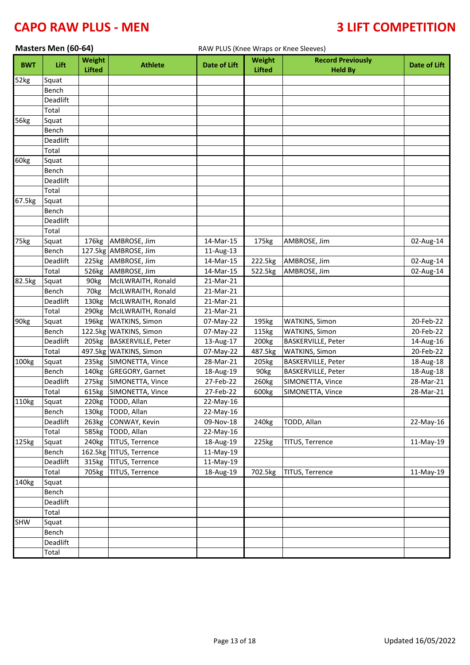| Masters Men (60-64)<br>RAW PLUS (Knee Wraps or Knee Sleeves) |                   |                                |                                           |                        |                         |                                            |                        |
|--------------------------------------------------------------|-------------------|--------------------------------|-------------------------------------------|------------------------|-------------------------|--------------------------------------------|------------------------|
| <b>BWT</b>                                                   | Lift              | <b>Weight</b><br><b>Lifted</b> | <b>Athlete</b>                            | <b>Date of Lift</b>    | Weight<br><b>Lifted</b> | <b>Record Previously</b><br><b>Held By</b> | Date of Lift           |
| 52kg                                                         | Squat             |                                |                                           |                        |                         |                                            |                        |
|                                                              | Bench             |                                |                                           |                        |                         |                                            |                        |
|                                                              | Deadlift          |                                |                                           |                        |                         |                                            |                        |
|                                                              | Total             |                                |                                           |                        |                         |                                            |                        |
| 56kg                                                         | Squat             |                                |                                           |                        |                         |                                            |                        |
|                                                              | Bench             |                                |                                           |                        |                         |                                            |                        |
|                                                              | Deadlift          |                                |                                           |                        |                         |                                            |                        |
|                                                              | Total             |                                |                                           |                        |                         |                                            |                        |
| 60kg                                                         | Squat             |                                |                                           |                        |                         |                                            |                        |
|                                                              | Bench             |                                |                                           |                        |                         |                                            |                        |
|                                                              | Deadlift          |                                |                                           |                        |                         |                                            |                        |
|                                                              | Total             |                                |                                           |                        |                         |                                            |                        |
| 67.5kg                                                       | Squat             |                                |                                           |                        |                         |                                            |                        |
|                                                              | Bench             |                                |                                           |                        |                         |                                            |                        |
|                                                              | Deadlift          |                                |                                           |                        |                         |                                            |                        |
|                                                              | Total             |                                |                                           |                        |                         |                                            |                        |
| 75kg                                                         | Squat             | 176kg                          | AMBROSE, Jim                              | 14-Mar-15              | 175kg                   | AMBROSE, Jim                               | 02-Aug-14              |
|                                                              | Bench             |                                | 127.5kg AMBROSE, Jim                      | 11-Aug-13              |                         |                                            |                        |
|                                                              | Deadlift          | 225kg                          | AMBROSE, Jim                              | 14-Mar-15              | 222.5kg                 | AMBROSE, Jim                               | 02-Aug-14              |
|                                                              | Total             | 526kg                          | AMBROSE, Jim                              | 14-Mar-15              | 522.5kg                 | AMBROSE, Jim                               | 02-Aug-14              |
| 82.5kg                                                       | Squat             | 90 <sub>kg</sub>               | McILWRAITH, Ronald                        | 21-Mar-21              |                         |                                            |                        |
|                                                              | Bench             | 70kg                           | McILWRAITH, Ronald                        | 21-Mar-21              |                         |                                            |                        |
|                                                              | Deadlift          | 130kg                          | McILWRAITH, Ronald                        | 21-Mar-21              |                         |                                            |                        |
|                                                              | Total             | 290 <sub>kg</sub>              | McILWRAITH, Ronald                        | 21-Mar-21              |                         |                                            |                        |
| 90kg                                                         | Squat             | 196kg                          | <b>WATKINS, Simon</b>                     | 07-May-22              | 195kg                   | <b>WATKINS, Simon</b>                      | 20-Feb-22              |
|                                                              | Bench             |                                | 122.5kg WATKINS, Simon                    | 07-May-22              | 115kg                   | <b>WATKINS, Simon</b>                      | 20-Feb-22              |
|                                                              | Deadlift          | 205kg                          | <b>BASKERVILLE, Peter</b>                 | 13-Aug-17              | 200kg                   | BASKERVILLE, Peter                         | 14-Aug-16              |
|                                                              | Total             |                                | 497.5kg WATKINS, Simon                    | 07-May-22              | 487.5kg                 | <b>WATKINS, Simon</b>                      | 20-Feb-22              |
| 100kg                                                        | Squat             |                                | 235kg SIMONETTA, Vince                    | 28-Mar-21              | 205kg                   | <b>BASKERVILLE, Peter</b>                  | 18-Aug-18              |
|                                                              | Bench<br>Deadlift |                                | 140kg GREGORY, Garnet<br>SIMONETTA, Vince | 18-Aug-19<br>27-Feb-22 | 90kg                    | <b>BASKERVILLE, Peter</b>                  | 18-Aug-18<br>28-Mar-21 |
|                                                              |                   | 275kg                          | 615kg SIMONETTA, Vince                    | 27-Feb-22              | 260kg                   | SIMONETTA, Vince                           | 28-Mar-21              |
| 110kg                                                        | Total<br>Squat    | 220 <sub>kg</sub>              | TODD, Allan                               | 22-May-16              | 600kg                   | SIMONETTA, Vince                           |                        |
|                                                              | Bench             | 130 <sub>kg</sub>              | TODD, Allan                               | 22-May-16              |                         |                                            |                        |
|                                                              | Deadlift          | 263kg                          | CONWAY, Kevin                             | 09-Nov-18              | 240kg                   | TODD, Allan                                | 22-May-16              |
|                                                              | Total             | 585kg                          | TODD, Allan                               | 22-May-16              |                         |                                            |                        |
| 125kg                                                        | Squat             | 240 <sub>kg</sub>              | TITUS, Terrence                           | 18-Aug-19              | 225kg                   | TITUS, Terrence                            | 11-May-19              |
|                                                              | Bench             |                                | 162.5kg TITUS, Terrence                   | 11-May-19              |                         |                                            |                        |
|                                                              | Deadlift          | 315kg                          | <b>TITUS, Terrence</b>                    | 11-May-19              |                         |                                            |                        |
|                                                              | Total             | 705kg                          | TITUS, Terrence                           | 18-Aug-19              | 702.5kg                 | TITUS, Terrence                            | 11-May-19              |
| 140kg                                                        | Squat             |                                |                                           |                        |                         |                                            |                        |
|                                                              | Bench             |                                |                                           |                        |                         |                                            |                        |
|                                                              | Deadlift          |                                |                                           |                        |                         |                                            |                        |
|                                                              | Total             |                                |                                           |                        |                         |                                            |                        |
| SHW                                                          | Squat             |                                |                                           |                        |                         |                                            |                        |
|                                                              | Bench             |                                |                                           |                        |                         |                                            |                        |
|                                                              | Deadlift          |                                |                                           |                        |                         |                                            |                        |
|                                                              | Total             |                                |                                           |                        |                         |                                            |                        |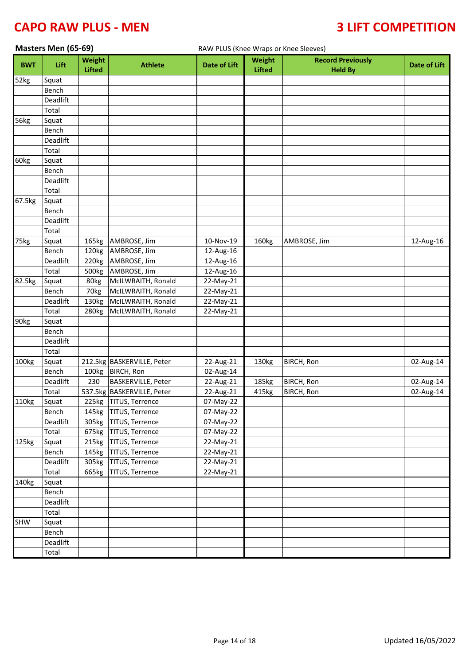| Masters Men (65-69)<br>RAW PLUS (Knee Wraps or Knee Sleeves) |          |                         |                            |                     |                                |                                            |                     |
|--------------------------------------------------------------|----------|-------------------------|----------------------------|---------------------|--------------------------------|--------------------------------------------|---------------------|
| <b>BWT</b>                                                   | Lift     | Weight<br><b>Lifted</b> | <b>Athlete</b>             | <b>Date of Lift</b> | <b>Weight</b><br><b>Lifted</b> | <b>Record Previously</b><br><b>Held By</b> | <b>Date of Lift</b> |
| 52kg                                                         | Squat    |                         |                            |                     |                                |                                            |                     |
|                                                              | Bench    |                         |                            |                     |                                |                                            |                     |
|                                                              | Deadlift |                         |                            |                     |                                |                                            |                     |
|                                                              | Total    |                         |                            |                     |                                |                                            |                     |
| 56kg                                                         | Squat    |                         |                            |                     |                                |                                            |                     |
|                                                              | Bench    |                         |                            |                     |                                |                                            |                     |
|                                                              | Deadlift |                         |                            |                     |                                |                                            |                     |
|                                                              | Total    |                         |                            |                     |                                |                                            |                     |
| 60kg                                                         | Squat    |                         |                            |                     |                                |                                            |                     |
|                                                              | Bench    |                         |                            |                     |                                |                                            |                     |
|                                                              | Deadlift |                         |                            |                     |                                |                                            |                     |
|                                                              | Total    |                         |                            |                     |                                |                                            |                     |
| 67.5kg                                                       | Squat    |                         |                            |                     |                                |                                            |                     |
|                                                              | Bench    |                         |                            |                     |                                |                                            |                     |
|                                                              | Deadlift |                         |                            |                     |                                |                                            |                     |
|                                                              | Total    |                         |                            |                     |                                |                                            |                     |
| 75kg                                                         | Squat    | 165kg                   | AMBROSE, Jim               | 10-Nov-19           | 160kg                          | AMBROSE, Jim                               | 12-Aug-16           |
|                                                              | Bench    | 120kg                   | AMBROSE, Jim               | 12-Aug-16           |                                |                                            |                     |
|                                                              | Deadlift | 220kg                   | AMBROSE, Jim               | 12-Aug-16           |                                |                                            |                     |
|                                                              | Total    | 500kg                   | AMBROSE, Jim               | 12-Aug-16           |                                |                                            |                     |
| 82.5kg                                                       | Squat    | 80kg                    | McILWRAITH, Ronald         | 22-May-21           |                                |                                            |                     |
|                                                              | Bench    | 70kg                    | McILWRAITH, Ronald         | 22-May-21           |                                |                                            |                     |
|                                                              | Deadlift | 130kg                   | McILWRAITH, Ronald         | 22-May-21           |                                |                                            |                     |
|                                                              | Total    | 280kg                   | McILWRAITH, Ronald         | 22-May-21           |                                |                                            |                     |
| 90kg                                                         | Squat    |                         |                            |                     |                                |                                            |                     |
|                                                              | Bench    |                         |                            |                     |                                |                                            |                     |
|                                                              | Deadlift |                         |                            |                     |                                |                                            |                     |
|                                                              | Total    |                         |                            |                     |                                |                                            |                     |
| 100kg                                                        | Squat    |                         | 212.5kg BASKERVILLE, Peter | 22-Aug-21           | 130kg                          | BIRCH, Ron                                 | 02-Aug-14           |
|                                                              | Bench    | 100kg                   | <b>BIRCH, Ron</b>          | 02-Aug-14           |                                |                                            |                     |
|                                                              | Deadlift | 230                     | <b>BASKERVILLE, Peter</b>  | 22-Aug-21           | 185kg                          | BIRCH, Ron                                 | 02-Aug-14           |
|                                                              | Total    |                         | 537.5kg BASKERVILLE, Peter | 22-Aug-21           | 415kg                          | BIRCH, Ron                                 | 02-Aug-14           |
| 110kg                                                        | Squat    |                         | 225kg TITUS, Terrence      | 07-May-22           |                                |                                            |                     |
|                                                              | Bench    |                         | 145kg TITUS, Terrence      | 07-May-22           |                                |                                            |                     |
|                                                              | Deadlift |                         | 305kg TITUS, Terrence      | 07-May-22           |                                |                                            |                     |
|                                                              | Total    |                         | 675kg TITUS, Terrence      | 07-May-22           |                                |                                            |                     |
| 125kg                                                        | Squat    | 215kg                   | TITUS, Terrence            | 22-May-21           |                                |                                            |                     |
|                                                              | Bench    |                         | 145kg TITUS, Terrence      | 22-May-21           |                                |                                            |                     |
|                                                              | Deadlift |                         | 305kg TITUS, Terrence      | 22-May-21           |                                |                                            |                     |
|                                                              | Total    |                         | 665kg TITUS, Terrence      | 22-May-21           |                                |                                            |                     |
| 140 <sub>kg</sub>                                            | Squat    |                         |                            |                     |                                |                                            |                     |
|                                                              | Bench    |                         |                            |                     |                                |                                            |                     |
|                                                              | Deadlift |                         |                            |                     |                                |                                            |                     |
|                                                              | Total    |                         |                            |                     |                                |                                            |                     |
| SHW                                                          | Squat    |                         |                            |                     |                                |                                            |                     |
|                                                              | Bench    |                         |                            |                     |                                |                                            |                     |
|                                                              | Deadlift |                         |                            |                     |                                |                                            |                     |
|                                                              | Total    |                         |                            |                     |                                |                                            |                     |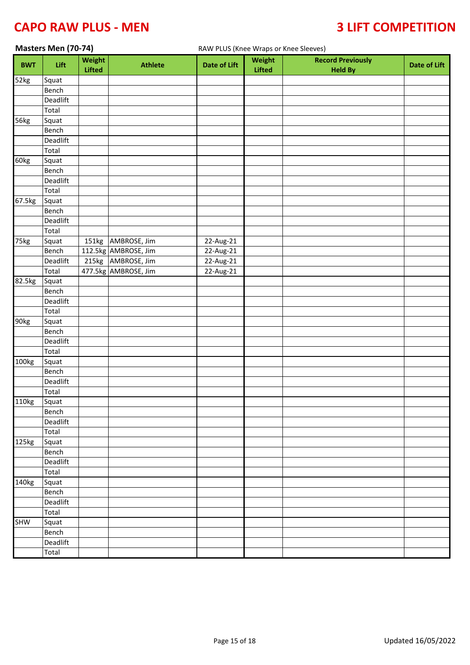# **CAPO RAW PLUS - MEN 4 2008 10 2009 10 2009 10 3 2 2 2 3 2 2 3 2 4 7 2 3 2 4 7 2 3 4 7 2 3 4 7 3 4 7 2 3 4 7 2 4 7 2 4 7 2 4 7 2 4 7 2 4 7 2 4 7 2 4 7 2 4 7 2 4 7 2 4 7 2 4 7 2 4 7 2 4 7 2 4 7 2 4 7 2 4 7 2 4 7 2 4 7 2 4 7**

| Masters Men (70-74)<br>RAW PLUS (Knee Wraps or Knee Sleeves) |                           |                         |                      |                     |                         |                                            |                     |
|--------------------------------------------------------------|---------------------------|-------------------------|----------------------|---------------------|-------------------------|--------------------------------------------|---------------------|
| l,<br><b>BWT</b>                                             | Lift                      | Weight<br><b>Lifted</b> | <b>Athlete</b>       | <b>Date of Lift</b> | Weight<br><b>Lifted</b> | <b>Record Previously</b><br><b>Held By</b> | <b>Date of Lift</b> |
| 52kg                                                         | Squat                     |                         |                      |                     |                         |                                            |                     |
|                                                              | Bench                     |                         |                      |                     |                         |                                            |                     |
|                                                              | Deadlift                  |                         |                      |                     |                         |                                            |                     |
|                                                              | Total                     |                         |                      |                     |                         |                                            |                     |
| 56kg                                                         | Squat                     |                         |                      |                     |                         |                                            |                     |
|                                                              | Bench                     |                         |                      |                     |                         |                                            |                     |
|                                                              | Deadlift                  |                         |                      |                     |                         |                                            |                     |
|                                                              | Total                     |                         |                      |                     |                         |                                            |                     |
| 60kg                                                         | Squat                     |                         |                      |                     |                         |                                            |                     |
|                                                              | Bench                     |                         |                      |                     |                         |                                            |                     |
|                                                              | Deadlift                  |                         |                      |                     |                         |                                            |                     |
|                                                              | Total                     |                         |                      |                     |                         |                                            |                     |
| 67.5kg                                                       | Squat                     |                         |                      |                     |                         |                                            |                     |
|                                                              | Bench                     |                         |                      |                     |                         |                                            |                     |
|                                                              | Deadlift                  |                         |                      |                     |                         |                                            |                     |
|                                                              | $\overline{\text{Total}}$ |                         |                      |                     |                         |                                            |                     |
| 75kg                                                         | Squat                     |                         | 151kg AMBROSE, Jim   | 22-Aug-21           |                         |                                            |                     |
|                                                              | Bench                     |                         | 112.5kg AMBROSE, Jim | 22-Aug-21           |                         |                                            |                     |
|                                                              | Deadlift                  |                         | 215kg AMBROSE, Jim   | 22-Aug-21           |                         |                                            |                     |
|                                                              | Total                     |                         | 477.5kg AMBROSE, Jim | 22-Aug-21           |                         |                                            |                     |
| 82.5kg                                                       | Squat                     |                         |                      |                     |                         |                                            |                     |
|                                                              | Bench                     |                         |                      |                     |                         |                                            |                     |
|                                                              | Deadlift                  |                         |                      |                     |                         |                                            |                     |
|                                                              | Total                     |                         |                      |                     |                         |                                            |                     |
| 90kg                                                         | Squat                     |                         |                      |                     |                         |                                            |                     |
|                                                              | Bench                     |                         |                      |                     |                         |                                            |                     |
|                                                              | Deadlift                  |                         |                      |                     |                         |                                            |                     |
|                                                              | Total                     |                         |                      |                     |                         |                                            |                     |
| 100kg                                                        | Squat                     |                         |                      |                     |                         |                                            |                     |
|                                                              | Bench                     |                         |                      |                     |                         |                                            |                     |
|                                                              | Deadlift                  |                         |                      |                     |                         |                                            |                     |
|                                                              | Total<br>Squat            |                         |                      |                     |                         |                                            |                     |
| 110kg                                                        | Bench                     |                         |                      |                     |                         |                                            |                     |
|                                                              | Deadlift                  |                         |                      |                     |                         |                                            |                     |
|                                                              | Total                     |                         |                      |                     |                         |                                            |                     |
| 125kg                                                        | Squat                     |                         |                      |                     |                         |                                            |                     |
|                                                              | Bench                     |                         |                      |                     |                         |                                            |                     |
|                                                              | Deadlift                  |                         |                      |                     |                         |                                            |                     |
|                                                              | Total                     |                         |                      |                     |                         |                                            |                     |
| 140kg                                                        | Squat                     |                         |                      |                     |                         |                                            |                     |
|                                                              | Bench                     |                         |                      |                     |                         |                                            |                     |
|                                                              | Deadlift                  |                         |                      |                     |                         |                                            |                     |
|                                                              | Total                     |                         |                      |                     |                         |                                            |                     |
| <b>SHW</b>                                                   | Squat                     |                         |                      |                     |                         |                                            |                     |
|                                                              | Bench                     |                         |                      |                     |                         |                                            |                     |
|                                                              | Deadlift                  |                         |                      |                     |                         |                                            |                     |
|                                                              | Total                     |                         |                      |                     |                         |                                            |                     |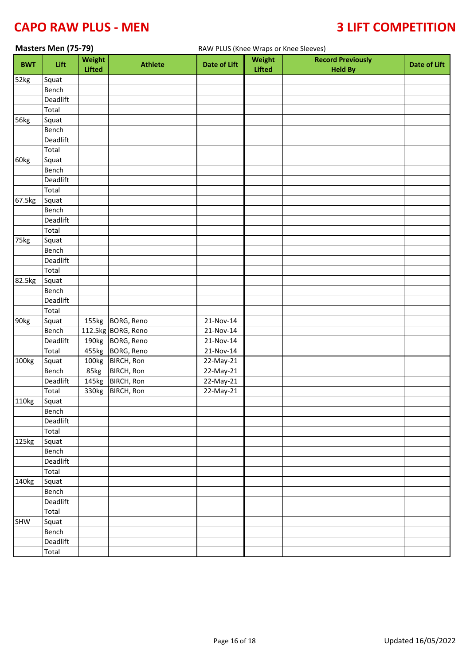| Masters Men (75-79)<br>RAW PLUS (Knee Wraps or Knee Sleeves) |          |                         |                    |                         |                         |                                            |                     |
|--------------------------------------------------------------|----------|-------------------------|--------------------|-------------------------|-------------------------|--------------------------------------------|---------------------|
| <b>BWT</b>                                                   | Lift     | Weight<br><b>Lifted</b> | <b>Athlete</b>     | <b>Date of Lift</b>     | Weight<br><b>Lifted</b> | <b>Record Previously</b><br><b>Held By</b> | <b>Date of Lift</b> |
| 52kg                                                         | Squat    |                         |                    |                         |                         |                                            |                     |
|                                                              | Bench    |                         |                    |                         |                         |                                            |                     |
|                                                              | Deadlift |                         |                    |                         |                         |                                            |                     |
|                                                              | Total    |                         |                    |                         |                         |                                            |                     |
| 56kg                                                         | Squat    |                         |                    |                         |                         |                                            |                     |
|                                                              | Bench    |                         |                    |                         |                         |                                            |                     |
|                                                              | Deadlift |                         |                    |                         |                         |                                            |                     |
|                                                              | Total    |                         |                    |                         |                         |                                            |                     |
| 60kg                                                         | Squat    |                         |                    |                         |                         |                                            |                     |
|                                                              | Bench    |                         |                    |                         |                         |                                            |                     |
|                                                              | Deadlift |                         |                    |                         |                         |                                            |                     |
|                                                              | Total    |                         |                    |                         |                         |                                            |                     |
| 67.5kg                                                       | Squat    |                         |                    |                         |                         |                                            |                     |
|                                                              | Bench    |                         |                    |                         |                         |                                            |                     |
|                                                              | Deadlift |                         |                    |                         |                         |                                            |                     |
|                                                              | Total    |                         |                    |                         |                         |                                            |                     |
| 75kg                                                         | Squat    |                         |                    |                         |                         |                                            |                     |
|                                                              | Bench    |                         |                    |                         |                         |                                            |                     |
|                                                              | Deadlift |                         |                    |                         |                         |                                            |                     |
|                                                              | Total    |                         |                    |                         |                         |                                            |                     |
| 82.5kg                                                       | Squat    |                         |                    |                         |                         |                                            |                     |
|                                                              | Bench    |                         |                    |                         |                         |                                            |                     |
|                                                              | Deadlift |                         |                    |                         |                         |                                            |                     |
|                                                              | Total    |                         |                    |                         |                         |                                            |                     |
| 90kg                                                         | Squat    |                         | 155kg BORG, Reno   | 21-Nov-14               |                         |                                            |                     |
|                                                              | Bench    |                         | 112.5kg BORG, Reno | 21-Nov-14               |                         |                                            |                     |
|                                                              | Deadlift |                         | 190kg BORG, Reno   | 21-Nov-14               |                         |                                            |                     |
|                                                              | Total    |                         | 455kg BORG, Reno   | 21-Nov-14               |                         |                                            |                     |
| 100kg                                                        | Squat    |                         | 100kg BIRCH, Ron   | 22-May-21               |                         |                                            |                     |
|                                                              | Bench    | 85kg                    | <b>BIRCH, Ron</b>  | 22-May-21               |                         |                                            |                     |
|                                                              | Deadlift |                         | 145kg BIRCH, Ron   | 22-May-21               |                         |                                            |                     |
|                                                              | Total    |                         | 330kg BIRCH, Ron   | $\overline{2}$ 2-May-21 |                         |                                            |                     |
| 110kg                                                        | Squat    |                         |                    |                         |                         |                                            |                     |
|                                                              | Bench    |                         |                    |                         |                         |                                            |                     |
|                                                              | Deadlift |                         |                    |                         |                         |                                            |                     |
|                                                              | Total    |                         |                    |                         |                         |                                            |                     |
| 125kg                                                        | Squat    |                         |                    |                         |                         |                                            |                     |
|                                                              | Bench    |                         |                    |                         |                         |                                            |                     |
|                                                              | Deadlift |                         |                    |                         |                         |                                            |                     |
|                                                              | Total    |                         |                    |                         |                         |                                            |                     |
| 140kg                                                        | Squat    |                         |                    |                         |                         |                                            |                     |
|                                                              | Bench    |                         |                    |                         |                         |                                            |                     |
|                                                              | Deadlift |                         |                    |                         |                         |                                            |                     |
|                                                              | Total    |                         |                    |                         |                         |                                            |                     |
| SHW                                                          | Squat    |                         |                    |                         |                         |                                            |                     |
|                                                              | Bench    |                         |                    |                         |                         |                                            |                     |
|                                                              | Deadlift |                         |                    |                         |                         |                                            |                     |
|                                                              | Total    |                         |                    |                         |                         |                                            |                     |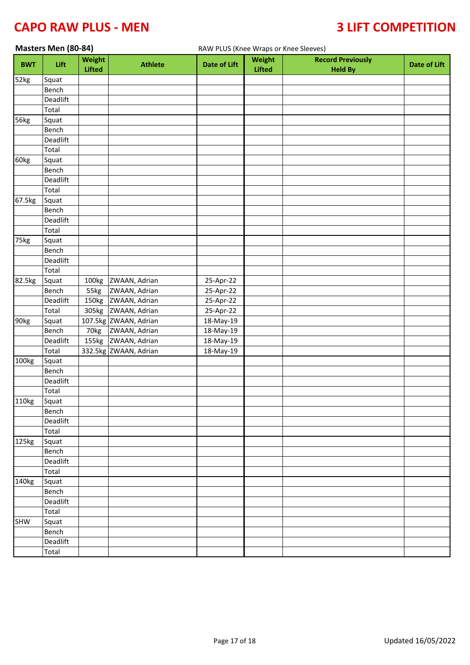### **CAPO RAW PLUS - MEN 4 2008 10 2009 10 3 2 2 3 2 2 3 2 3 2 4 3 2 4 3 4 3 4 4 5 4 6 7 7 8 4 6 7 7 8 7 7 8 7 7 8 7 7 8 7 7 8 7 7 8 7 7 8 7 7 8 7 7 8 7 7 8 7 7 8 7 7 8 7 7 8 7 7 8 7 7 8 7 7 8 7 7 8 7 7 8 7 7 8 7 7 8 7 7 8 7 7**

|            | Masters Men (80-84) |                         |                       | RAW PLUS (Knee Wraps or Knee Sleeves) |                         |                                            |                     |
|------------|---------------------|-------------------------|-----------------------|---------------------------------------|-------------------------|--------------------------------------------|---------------------|
| <b>BWT</b> | Lift                | Weight<br><b>Lifted</b> | <b>Athlete</b>        | <b>Date of Lift</b>                   | Weight<br><b>Lifted</b> | <b>Record Previously</b><br><b>Held By</b> | <b>Date of Lift</b> |
| 52kg       | Squat               |                         |                       |                                       |                         |                                            |                     |
|            | Bench               |                         |                       |                                       |                         |                                            |                     |
|            | Deadlift            |                         |                       |                                       |                         |                                            |                     |
|            | Total               |                         |                       |                                       |                         |                                            |                     |
| 56kg       | Squat               |                         |                       |                                       |                         |                                            |                     |
|            | Bench               |                         |                       |                                       |                         |                                            |                     |
|            | Deadlift            |                         |                       |                                       |                         |                                            |                     |
|            | Total               |                         |                       |                                       |                         |                                            |                     |
| 60kg       | Squat               |                         |                       |                                       |                         |                                            |                     |
|            | Bench               |                         |                       |                                       |                         |                                            |                     |
|            | Deadlift            |                         |                       |                                       |                         |                                            |                     |
|            | Total               |                         |                       |                                       |                         |                                            |                     |
| 67.5kg     | Squat               |                         |                       |                                       |                         |                                            |                     |
|            | Bench               |                         |                       |                                       |                         |                                            |                     |
|            | Deadlift            |                         |                       |                                       |                         |                                            |                     |
|            | Total               |                         |                       |                                       |                         |                                            |                     |
| 75kg       | Squat               |                         |                       |                                       |                         |                                            |                     |
|            | Bench               |                         |                       |                                       |                         |                                            |                     |
|            | Deadlift            |                         |                       |                                       |                         |                                            |                     |
|            | Total               |                         |                       |                                       |                         |                                            |                     |
| 82.5kg     | Squat               |                         | 100kg ZWAAN, Adrian   | 25-Apr-22                             |                         |                                            |                     |
|            | Bench               | 55kg                    | ZWAAN, Adrian         | 25-Apr-22                             |                         |                                            |                     |
|            | Deadlift            |                         | 150kg ZWAAN, Adrian   | 25-Apr-22                             |                         |                                            |                     |
|            | Total               |                         | 305kg ZWAAN, Adrian   | 25-Apr-22                             |                         |                                            |                     |
| 90kg       | Squat               |                         | 107.5kg ZWAAN, Adrian | 18-May-19                             |                         |                                            |                     |
|            | Bench               | 70kg                    | ZWAAN, Adrian         | 18-May-19                             |                         |                                            |                     |
|            | Deadlift            |                         | 155kg ZWAAN, Adrian   | 18-May-19                             |                         |                                            |                     |
|            | Total               |                         | 332.5kg ZWAAN, Adrian | 18-May-19                             |                         |                                            |                     |
| 100kg      | Squat               |                         |                       |                                       |                         |                                            |                     |
|            | Bench               |                         |                       |                                       |                         |                                            |                     |
|            | Deadlift            |                         |                       |                                       |                         |                                            |                     |
|            | Total               |                         |                       |                                       |                         |                                            |                     |
| 110kg      | Squat               |                         |                       |                                       |                         |                                            |                     |
|            | Bench               |                         |                       |                                       |                         |                                            |                     |
|            | Deadlift            |                         |                       |                                       |                         |                                            |                     |
|            | Total               |                         |                       |                                       |                         |                                            |                     |
| 125kg      | Squat               |                         |                       |                                       |                         |                                            |                     |
|            | Bench               |                         |                       |                                       |                         |                                            |                     |
|            | Deadlift            |                         |                       |                                       |                         |                                            |                     |
|            | Total               |                         |                       |                                       |                         |                                            |                     |
| 140kg      | Squat               |                         |                       |                                       |                         |                                            |                     |
|            | Bench               |                         |                       |                                       |                         |                                            |                     |
|            | Deadlift            |                         |                       |                                       |                         |                                            |                     |
|            | Total               |                         |                       |                                       |                         |                                            |                     |
| SHW        | Squat               |                         |                       |                                       |                         |                                            |                     |
|            | Bench               |                         |                       |                                       |                         |                                            |                     |
|            | Deadlift            |                         |                       |                                       |                         |                                            |                     |
|            | Total               |                         |                       |                                       |                         |                                            |                     |